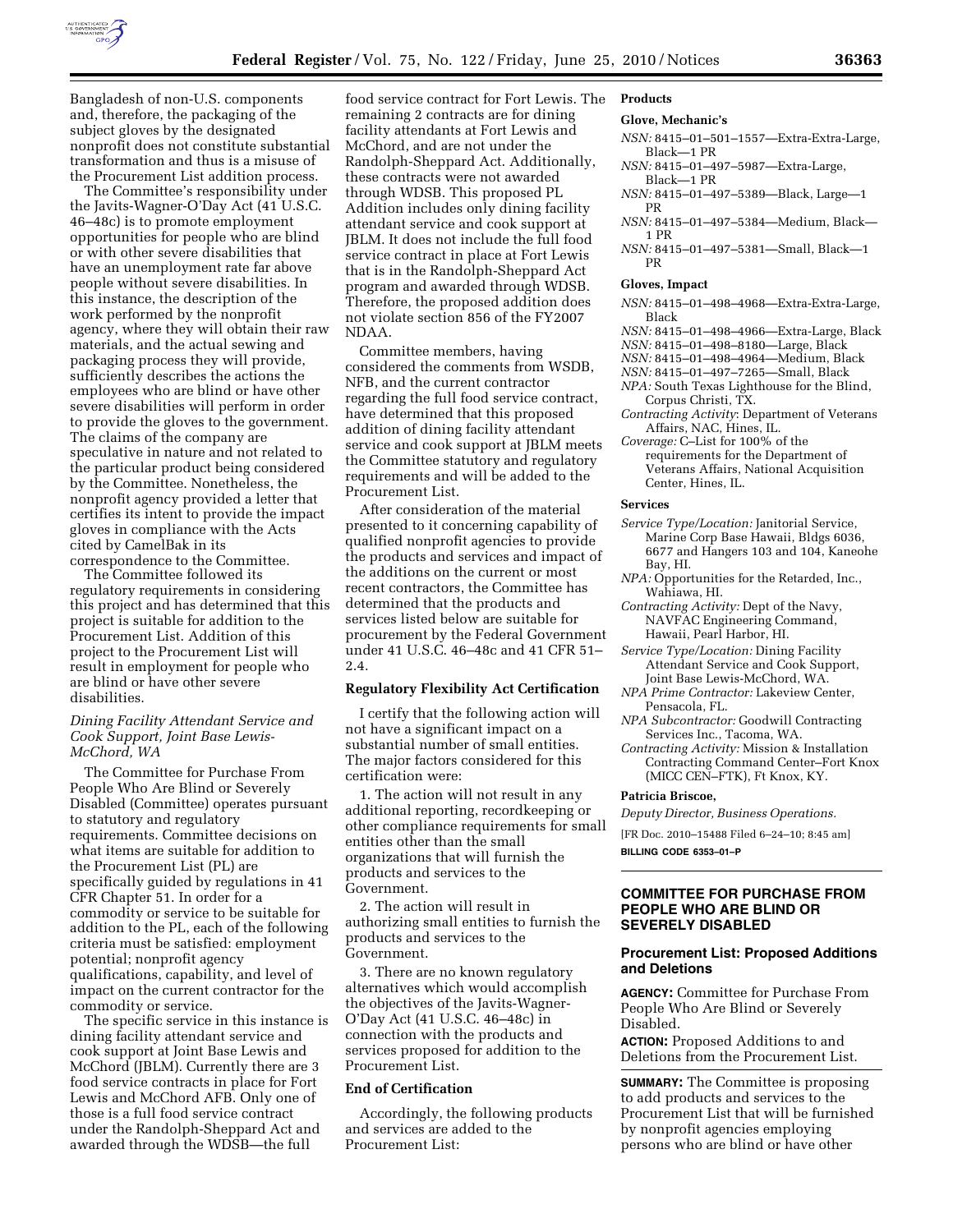

Bangladesh of non-U.S. components and, therefore, the packaging of the subject gloves by the designated nonprofit does not constitute substantial transformation and thus is a misuse of the Procurement List addition process.

The Committee's responsibility under the Javits-Wagner-O'Day Act (41 U.S.C. 46–48c) is to promote employment opportunities for people who are blind or with other severe disabilities that have an unemployment rate far above people without severe disabilities. In this instance, the description of the work performed by the nonprofit agency, where they will obtain their raw materials, and the actual sewing and packaging process they will provide, sufficiently describes the actions the employees who are blind or have other severe disabilities will perform in order to provide the gloves to the government. The claims of the company are speculative in nature and not related to the particular product being considered by the Committee. Nonetheless, the nonprofit agency provided a letter that certifies its intent to provide the impact gloves in compliance with the Acts cited by CamelBak in its correspondence to the Committee.

The Committee followed its regulatory requirements in considering this project and has determined that this project is suitable for addition to the Procurement List. Addition of this project to the Procurement List will result in employment for people who are blind or have other severe disabilities.

# *Dining Facility Attendant Service and Cook Support, Joint Base Lewis-McChord, WA*

The Committee for Purchase From People Who Are Blind or Severely Disabled (Committee) operates pursuant to statutory and regulatory requirements. Committee decisions on what items are suitable for addition to the Procurement List (PL) are specifically guided by regulations in 41 CFR Chapter 51. In order for a commodity or service to be suitable for addition to the PL, each of the following criteria must be satisfied: employment potential; nonprofit agency qualifications, capability, and level of impact on the current contractor for the commodity or service.

The specific service in this instance is dining facility attendant service and cook support at Joint Base Lewis and McChord (JBLM). Currently there are 3 food service contracts in place for Fort Lewis and McChord AFB. Only one of those is a full food service contract under the Randolph-Sheppard Act and awarded through the WDSB—the full

food service contract for Fort Lewis. The remaining 2 contracts are for dining facility attendants at Fort Lewis and McChord, and are not under the Randolph-Sheppard Act. Additionally, these contracts were not awarded through WDSB. This proposed PL Addition includes only dining facility attendant service and cook support at JBLM. It does not include the full food service contract in place at Fort Lewis that is in the Randolph-Sheppard Act program and awarded through WDSB. Therefore, the proposed addition does not violate section 856 of the FY2007 NDAA.

Committee members, having considered the comments from WSDB, NFB, and the current contractor regarding the full food service contract, have determined that this proposed addition of dining facility attendant service and cook support at JBLM meets the Committee statutory and regulatory requirements and will be added to the Procurement List.

After consideration of the material presented to it concerning capability of qualified nonprofit agencies to provide the products and services and impact of the additions on the current or most recent contractors, the Committee has determined that the products and services listed below are suitable for procurement by the Federal Government under 41 U.S.C. 46–48c and 41 CFR 51– 2.4.

# **Regulatory Flexibility Act Certification**

I certify that the following action will not have a significant impact on a substantial number of small entities. The major factors considered for this certification were:

1. The action will not result in any additional reporting, recordkeeping or other compliance requirements for small entities other than the small organizations that will furnish the products and services to the Government.

2. The action will result in authorizing small entities to furnish the products and services to the Government.

3. There are no known regulatory alternatives which would accomplish the objectives of the Javits-Wagner-O'Day Act (41 U.S.C. 46–48c) in connection with the products and services proposed for addition to the Procurement List.

# **End of Certification**

Accordingly, the following products and services are added to the Procurement List:

**Products** 

# **Glove, Mechanic's**

- *NSN:* 8415–01–501–1557—Extra-Extra-Large, Black—1 PR
- *NSN:* 8415–01–497–5987—Extra-Large, Black—1 PR
- *NSN:* 8415–01–497–5389—Black, Large—1 PR
- *NSN:* 8415–01–497–5384—Medium, Black— 1 PR
- *NSN:* 8415–01–497–5381—Small, Black—1 PR

#### **Gloves, Impact**

- *NSN:* 8415–01–498–4968—Extra-Extra-Large, Black
- *NSN:* 8415–01–498–4966—Extra-Large, Black
- *NSN:* 8415–01–498–8180—Large, Black
- *NSN:* 8415–01–498–4964—Medium, Black
- *NSN:* 8415–01–497–7265—Small, Black
- *NPA:* South Texas Lighthouse for the Blind, Corpus Christi, TX.
- *Contracting Activity*: Department of Veterans Affairs, NAC, Hines, IL.
- *Coverage:* C–List for 100% of the requirements for the Department of Veterans Affairs, National Acquisition Center, Hines, IL.

# **Services**

- *Service Type/Location:* Janitorial Service, Marine Corp Base Hawaii, Bldgs 6036, 6677 and Hangers 103 and 104, Kaneohe Bay, HI.
- *NPA:* Opportunities for the Retarded, Inc., Wahiawa, HI.
- *Contracting Activity:* Dept of the Navy, NAVFAC Engineering Command, Hawaii, Pearl Harbor, HI.
- *Service Type/Location:* Dining Facility Attendant Service and Cook Support, Joint Base Lewis-McChord, WA.
- *NPA Prime Contractor:* Lakeview Center, Pensacola, FL.
- *NPA Subcontractor:* Goodwill Contracting Services Inc., Tacoma, WA.
- *Contracting Activity:* Mission & Installation Contracting Command Center–Fort Knox (MICC CEN–FTK), Ft Knox, KY.

#### **Patricia Briscoe,**

*Deputy Director, Business Operations.* 

[FR Doc. 2010–15488 Filed 6–24–10; 8:45 am]

**BILLING CODE 6353–01–P** 

# **COMMITTEE FOR PURCHASE FROM PEOPLE WHO ARE BLIND OR SEVERELY DISABLED**

# **Procurement List: Proposed Additions and Deletions**

**AGENCY:** Committee for Purchase From People Who Are Blind or Severely Disabled.

**ACTION:** Proposed Additions to and Deletions from the Procurement List.

**SUMMARY:** The Committee is proposing to add products and services to the Procurement List that will be furnished by nonprofit agencies employing persons who are blind or have other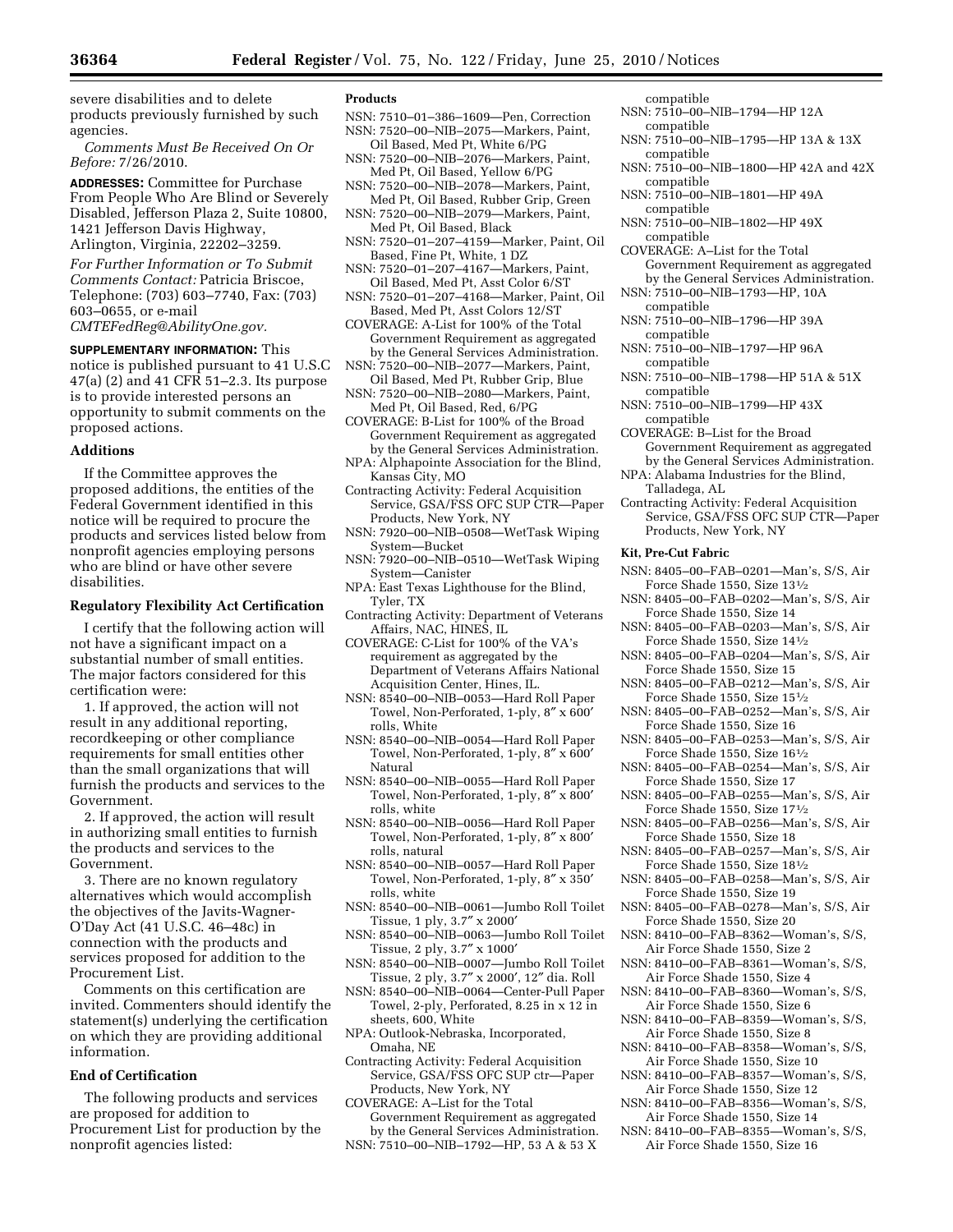severe disabilities and to delete products previously furnished by such agencies.

*Comments Must Be Received On Or Before:* 7/26/2010.

**ADDRESSES:** Committee for Purchase From People Who Are Blind or Severely Disabled, Jefferson Plaza 2, Suite 10800, 1421 Jefferson Davis Highway, Arlington, Virginia, 22202–3259.

*For Further Information or To Submit Comments Contact:* Patricia Briscoe, Telephone: (703) 603–7740, Fax: (703) 603–0655, or e-mail

*CMTEFedReg@AbilityOne.gov.* 

**SUPPLEMENTARY INFORMATION:** This notice is published pursuant to 41 U.S.C 47(a) (2) and 41 CFR 51–2.3. Its purpose is to provide interested persons an opportunity to submit comments on the proposed actions.

# **Additions**

If the Committee approves the proposed additions, the entities of the Federal Government identified in this notice will be required to procure the products and services listed below from nonprofit agencies employing persons who are blind or have other severe disabilities.

# **Regulatory Flexibility Act Certification**

I certify that the following action will not have a significant impact on a substantial number of small entities. The major factors considered for this certification were:

1. If approved, the action will not result in any additional reporting, recordkeeping or other compliance requirements for small entities other than the small organizations that will furnish the products and services to the Government.

2. If approved, the action will result in authorizing small entities to furnish the products and services to the Government.

3. There are no known regulatory alternatives which would accomplish the objectives of the Javits-Wagner-O'Day Act (41 U.S.C. 46–48c) in connection with the products and services proposed for addition to the Procurement List.

Comments on this certification are invited. Commenters should identify the statement(s) underlying the certification on which they are providing additional information.

# **End of Certification**

The following products and services are proposed for addition to Procurement List for production by the nonprofit agencies listed:

#### **Products**

- NSN: 7510–01–386–1609—Pen, Correction NSN: 7520–00–NIB–2075—Markers, Paint,
- Oil Based, Med Pt, White 6/PG NSN: 7520–00–NIB–2076—Markers, Paint,
- Med Pt, Oil Based, Yellow 6/PG NSN: 7520–00–NIB–2078—Markers, Paint,
- Med Pt, Oil Based, Rubber Grip, Green NSN: 7520–00–NIB–2079—Markers, Paint,
- Med Pt, Oil Based, Black NSN: 7520–01–207–4159—Marker, Paint, Oil Based, Fine Pt, White, 1 DZ
- NSN: 7520–01–207–4167—Markers, Paint, Oil Based, Med Pt, Asst Color 6/ST
- NSN: 7520–01–207–4168—Marker, Paint, Oil Based, Med Pt, Asst Colors 12/ST
- COVERAGE: A-List for 100% of the Total Government Requirement as aggregated by the General Services Administration.
- NSN: 7520–00–NIB–2077—Markers, Paint, Oil Based, Med Pt, Rubber Grip, Blue
- NSN: 7520–00–NIB–2080—Markers, Paint, Med Pt, Oil Based, Red, 6/PG
- COVERAGE: B-List for 100% of the Broad Government Requirement as aggregated by the General Services Administration.
- NPA: Alphapointe Association for the Blind, Kansas City, MO
- Contracting Activity: Federal Acquisition Service, GSA/FSS OFC SUP CTR—Paper Products, New York, NY
- NSN: 7920–00–NIB–0508—WetTask Wiping System—Bucket
- NSN: 7920–00–NIB–0510—WetTask Wiping System—Canister
- NPA: East Texas Lighthouse for the Blind, Tyler, TX
- Contracting Activity: Department of Veterans Affairs, NAC, HINES, IL
- COVERAGE: C-List for 100% of the VA's requirement as aggregated by the Department of Veterans Affairs National Acquisition Center, Hines, IL.
- NSN: 8540–00–NIB–0053—Hard Roll Paper Towel, Non-Perforated, 1-ply, 8″ x 600′ rolls, White
- NSN: 8540–00–NIB–0054—Hard Roll Paper Towel, Non-Perforated, 1-ply, 8″ x 600′ Natural
- NSN: 8540–00–NIB–0055—Hard Roll Paper Towel, Non-Perforated, 1-ply, 8″ x 800′ rolls, white
- NSN: 8540–00–NIB–0056—Hard Roll Paper Towel, Non-Perforated, 1-ply, 8″ x 800′ rolls, natural
- NSN: 8540–00–NIB–0057—Hard Roll Paper Towel, Non-Perforated, 1-ply, 8″ x 350′ rolls, white
- NSN: 8540–00–NIB–0061—Jumbo Roll Toilet Tissue, 1 ply, 3.7″ x 2000′
- NSN: 8540–00–NIB–0063—Jumbo Roll Toilet Tissue, 2 ply, 3.7" x 1000'
- NSN: 8540–00–NIB–0007—Jumbo Roll Toilet Tissue, 2 ply, 3.7″ x 2000′, 12″ dia. Roll
- NSN: 8540–00–NIB–0064—Center-Pull Paper Towel, 2-ply, Perforated, 8.25 in x 12 in sheets, 600, White
- NPA: Outlook-Nebraska, Incorporated, Omaha, NE
- Contracting Activity: Federal Acquisition Service, GSA/FSS OFC SUP ctr—Paper Products, New York, NY
- COVERAGE: A–List for the Total Government Requirement as aggregated by the General Services Administration.
- NSN: 7510–00–NIB–1792—HP, 53 A & 53 X
- compatible NSN: 7510–00–NIB–1794—HP 12A
- compatible NSN: 7510–00–NIB–1795—HP 13A & 13X
- compatible NSN: 7510–00–NIB–1800—HP 42A and 42X compatible
- NSN: 7510–00–NIB–1801—HP 49A compatible
- NSN: 7510–00–NIB–1802—HP 49X compatible
- COVERAGE: A–List for the Total Government Requirement as aggregated by the General Services Administration.
- NSN: 7510–00–NIB–1793—HP, 10A
- compatible
- NSN: 7510–00–NIB–1796—HP 39A compatible
- NSN: 7510–00–NIB–1797—HP 96A compatible
- NSN: 7510–00–NIB–1798—HP 51A & 51X compatible
- NSN: 7510–00–NIB–1799—HP 43X compatible
- COVERAGE: B–List for the Broad Government Requirement as aggregated by the General Services Administration.
- NPA: Alabama Industries for the Blind, Talladega, AL
- Contracting Activity: Federal Acquisition Service, GSA/FSS OFC SUP CTR—Paper Products, New York, NY

## **Kit, Pre-Cut Fabric**

- NSN: 8405–00–FAB–0201—Man's, S/S, Air Force Shade 1550, Size 131⁄2
- NSN: 8405–00–FAB–0202—Man's, S/S, Air Force Shade 1550, Size 14
- NSN: 8405–00–FAB–0203—Man's, S/S, Air Force Shade 1550, Size 141⁄2
- NSN: 8405–00–FAB–0204—Man's, S/S, Air Force Shade 1550, Size 15
- NSN: 8405–00–FAB–0212—Man's, S/S, Air Force Shade 1550, Size 151⁄2
- NSN: 8405–00–FAB–0252—Man's, S/S, Air Force Shade 1550, Size 16
- NSN: 8405–00–FAB–0253—Man's, S/S, Air Force Shade 1550, Size 161⁄2
- NSN: 8405–00–FAB–0254—Man's, S/S, Air Force Shade 1550, Size 17
- NSN: 8405–00–FAB–0255—Man's, S/S, Air Force Shade 1550, Size 171⁄2
- NSN: 8405–00–FAB–0256—Man's, S/S, Air Force Shade 1550, Size 18
- NSN: 8405–00–FAB–0257—Man's, S/S, Air Force Shade 1550, Size 181⁄2
- NSN: 8405–00–FAB–0258—Man's, S/S, Air Force Shade 1550, Size 19
- NSN: 8405–00–FAB–0278—Man's, S/S, Air Force Shade 1550, Size 20
- NSN: 8410–00–FAB–8362—Woman's, S/S, Air Force Shade 1550, Size 2
- NSN: 8410–00–FAB–8361—Woman's, S/S, Air Force Shade 1550, Size 4
- NSN: 8410–00–FAB–8360—Woman's, S/S, Air Force Shade 1550, Size 6
- NSN: 8410–00–FAB–8359—Woman's, S/S, Air Force Shade 1550, Size 8
- NSN: 8410–00–FAB–8358—Woman's, S/S, Air Force Shade 1550, Size 10
- NSN: 8410–00–FAB–8357—Woman's, S/S, Air Force Shade 1550, Size 12
- NSN: 8410–00–FAB–8356—Woman's, S/S, Air Force Shade 1550, Size 14
- NSN: 8410–00–FAB–8355—Woman's, S/S, Air Force Shade 1550, Size 16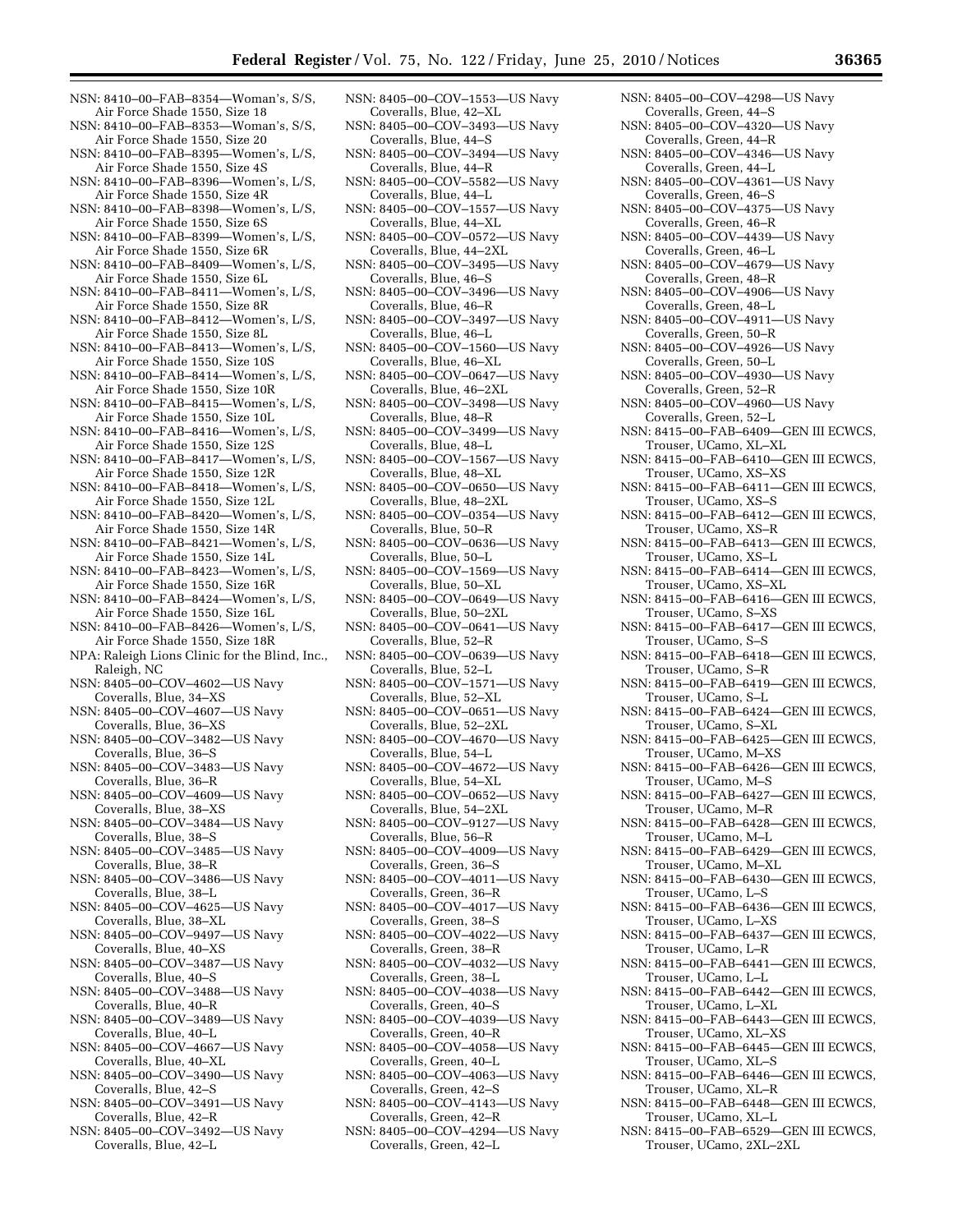- NSN: 8410–00–FAB–8354—Woman's, S/S, Air Force Shade 1550, Size 18
- NSN: 8410–00–FAB–8353—Woman's, S/S, Air Force Shade 1550, Size 20
- NSN: 8410–00–FAB–8395—Women's, L/S, Air Force Shade 1550, Size 4S
- NSN: 8410–00–FAB–8396—Women's, L/S, Air Force Shade 1550, Size 4R NSN: 8410–00–FAB–8398—Women's, L/S,
- Air Force Shade 1550, Size 6S
- NSN: 8410–00–FAB–8399—Women's, L/S, Air Force Shade 1550, Size 6R
- NSN: 8410–00–FAB–8409—Women's, L/S, Air Force Shade 1550, Size 6L
- NSN: 8410–00–FAB–8411—Women's, L/S, Air Force Shade 1550, Size 8R
- NSN: 8410–00–FAB–8412—Women's, L/S, Air Force Shade 1550, Size 8L
- NSN: 8410–00–FAB–8413—Women's, L/S, Air Force Shade 1550, Size 10S
- NSN: 8410–00–FAB–8414—Women's, L/S, Air Force Shade 1550, Size 10R
- NSN: 8410–00–FAB–8415—Women's, L/S, Air Force Shade 1550, Size 10L
- NSN: 8410–00–FAB–8416—Women's, L/S, Air Force Shade 1550, Size 12S
- NSN: 8410–00–FAB–8417—Women's, L/S, Air Force Shade 1550, Size 12R
- NSN: 8410–00–FAB–8418—Women's, L/S, Air Force Shade 1550, Size 12L
- NSN: 8410–00–FAB–8420—Women's, L/S, Air Force Shade 1550, Size 14R
- NSN: 8410–00–FAB–8421—Women's, L/S, Air Force Shade 1550, Size 14L
- NSN: 8410–00–FAB–8423—Women's, L/S, Air Force Shade 1550, Size 16R
- NSN: 8410–00–FAB–8424—Women's, L/S, Air Force Shade 1550, Size 16L
- NSN: 8410–00–FAB–8426—Women's, L/S, Air Force Shade 1550, Size 18R
- NPA: Raleigh Lions Clinic for the Blind, Inc., Raleigh, NC
- NSN: 8405–00–COV–4602—US Navy Coveralls, Blue, 34–XS
- NSN: 8405–00–COV–4607—US Navy Coveralls, Blue, 36–XS
- NSN: 8405–00–COV–3482—US Navy Coveralls, Blue, 36–S
- NSN: 8405–00–COV–3483—US Navy Coveralls, Blue, 36–R
- NSN: 8405–00–COV–4609—US Navy Coveralls, Blue, 38–XS
- NSN: 8405–00–COV–3484—US Navy Coveralls, Blue, 38–S
- NSN: 8405–00–COV–3485—US Navy Coveralls, Blue, 38–R
- NSN: 8405–00–COV–3486—US Navy Coveralls, Blue, 38–L
- NSN: 8405–00–COV–4625—US Navy Coveralls, Blue, 38–XL
- NSN: 8405–00–COV–9497—US Navy Coveralls, Blue, 40–XS
- NSN: 8405–00–COV–3487—US Navy Coveralls, Blue, 40–S
- NSN: 8405–00–COV–3488—US Navy Coveralls, Blue, 40–R
- NSN: 8405–00–COV–3489—US Navy Coveralls, Blue, 40–L
- NSN: 8405–00–COV–4667—US Navy Coveralls, Blue, 40–XL
- NSN: 8405–00–COV–3490—US Navy Coveralls, Blue, 42–S
- NSN: 8405–00–COV–3491—US Navy Coveralls, Blue, 42–R
- NSN: 8405–00–COV–3492—US Navy Coveralls, Blue, 42–L
- NSN: 8405–00–COV–1553—US Navy Coveralls, Blue, 42–XL
- NSN: 8405–00–COV–3493—US Navy Coveralls, Blue, 44–S
- NSN: 8405–00–COV–3494—US Navy Coveralls, Blue, 44–R
- NSN: 8405–00–COV–5582—US Navy Coveralls, Blue, 44–L
- NSN: 8405–00–COV–1557—US Navy Coveralls, Blue, 44–XL
- NSN: 8405–00–COV–0572—US Navy Coveralls, Blue, 44–2XL
- NSN: 8405–00–COV–3495—US Navy Coveralls, Blue, 46–S
- NSN: 8405–00–COV–3496—US Navy Coveralls, Blue, 46–R
- NSN: 8405–00–COV–3497—US Navy Coveralls, Blue, 46–L
- NSN: 8405–00–COV–1560—US Navy Coveralls, Blue, 46–XL
- NSN: 8405–00–COV–0647—US Navy Coveralls, Blue, 46–2XL
- NSN: 8405–00–COV–3498—US Navy Coveralls, Blue, 48–R
- NSN: 8405–00–COV–3499—US Navy Coveralls, Blue, 48–L
- NSN: 8405–00–COV–1567—US Navy Coveralls, Blue, 48–XL
- NSN: 8405–00–COV–0650—US Navy Coveralls, Blue, 48–2XL
- NSN: 8405–00–COV–0354—US Navy Coveralls, Blue, 50–R
- NSN: 8405–00–COV–0636—US Navy Coveralls, Blue, 50–L
- NSN: 8405–00–COV–1569—US Navy Coveralls, Blue, 50–XL
- NSN: 8405–00–COV–0649—US Navy Coveralls, Blue, 50–2XL
- NSN: 8405–00–COV–0641—US Navy Coveralls, Blue, 52–R
- NSN: 8405–00–COV–0639—US Navy Coveralls, Blue, 52–L
- NSN: 8405–00–COV–1571—US Navy Coveralls, Blue, 52–XL
- NSN: 8405–00–COV–0651—US Navy Coveralls, Blue, 52–2XL
- NSN: 8405–00–COV–4670—US Navy Coveralls, Blue, 54–L
- NSN: 8405–00–COV–4672—US Navy Coveralls, Blue, 54–XL
- NSN: 8405–00–COV–0652—US Navy Coveralls, Blue, 54–2XL
- NSN: 8405–00–COV–9127—US Navy Coveralls, Blue, 56–R
- NSN: 8405–00–COV–4009—US Navy Coveralls, Green, 36–S
- NSN: 8405–00–COV–4011—US Navy Coveralls, Green, 36–R
- NSN: 8405–00–COV–4017—US Navy Coveralls, Green, 38–S
- NSN: 8405–00–COV–4022—US Navy Coveralls, Green, 38–R
- NSN: 8405–00–COV–4032—US Navy Coveralls, Green, 38–L
- NSN: 8405–00–COV–4038—US Navy Coveralls, Green, 40–S
- NSN: 8405–00–COV–4039—US Navy Coveralls, Green, 40–R
- NSN: 8405–00–COV–4058—US Navy Coveralls, Green, 40–L
- NSN: 8405–00–COV–4063—US Navy Coveralls, Green, 42–S
- NSN: 8405–00–COV–4143—US Navy Coveralls, Green, 42–R
- NSN: 8405–00–COV–4294—US Navy Coveralls, Green, 42–L
- NSN: 8405–00–COV–4298—US Navy Coveralls, Green, 44–S NSN: 8405–00–COV–4320—US Navy Coveralls, Green, 44–R NSN: 8405–00–COV–4346—US Navy Coveralls, Green, 44–L NSN: 8405–00–COV–4361—US Navy Coveralls, Green, 46–S NSN: 8405–00–COV–4375—US Navy Coveralls, Green, 46–R NSN: 8405–00–COV–4439—US Navy Coveralls, Green, 46–L NSN: 8405–00–COV–4679—US Navy Coveralls, Green, 48–R NSN: 8405–00–COV–4906—US Navy Coveralls, Green, 48–L NSN: 8405–00–COV–4911—US Navy Coveralls, Green, 50–R NSN: 8405–00–COV–4926—US Navy Coveralls, Green, 50–L NSN: 8405–00–COV–4930—US Navy Coveralls, Green, 52–R NSN: 8405–00–COV–4960—US Navy Coveralls, Green, 52–L NSN: 8415–00–FAB–6409—GEN III ECWCS, Trouser, UCamo, XL–XL NSN: 8415–00–FAB–6410—GEN III ECWCS, Trouser, UCamo, XS–XS NSN: 8415–00–FAB–6411—GEN III ECWCS, Trouser, UCamo, XS–S NSN: 8415–00–FAB–6412—GEN III ECWCS, Trouser, UCamo, XS–R NSN: 8415–00–FAB–6413—GEN III ECWCS, Trouser, UCamo, XS–L NSN: 8415–00–FAB–6414—GEN III ECWCS, Trouser, UCamo, XS–XL NSN: 8415–00–FAB–6416—GEN III ECWCS, Trouser, UCamo, S–XS NSN: 8415–00–FAB–6417—GEN III ECWCS, Trouser, UCamo, S–S NSN: 8415–00–FAB–6418—GEN III ECWCS, Trouser, UCamo, S–R NSN: 8415–00–FAB–6419—GEN III ECWCS, Trouser, UCamo, S–L NSN: 8415–00–FAB–6424—GEN III ECWCS, Trouser, UCamo, S–XL NSN: 8415–00–FAB–6425—GEN III ECWCS, Trouser, UCamo, M–XS NSN: 8415–00–FAB–6426—GEN III ECWCS, Trouser, UCamo, M–S NSN: 8415–00–FAB–6427—GEN III ECWCS, Trouser, UCamo, M–R NSN: 8415–00–FAB–6428—GEN III ECWCS, Trouser, UCamo, M–L NSN: 8415–00–FAB–6429—GEN III ECWCS, Trouser, UCamo, M–XL NSN: 8415–00–FAB–6430—GEN III ECWCS, Trouser, UCamo, L–S NSN: 8415–00–FAB–6436—GEN III ECWCS, Trouser, UCamo, L–XS NSN: 8415–00–FAB–6437—GEN III ECWCS, Trouser, UCamo, L–R NSN: 8415–00–FAB–6441—GEN III ECWCS, Trouser, UCamo, L–L NSN: 8415–00–FAB–6442—GEN III ECWCS, Trouser, UCamo, L–XL NSN: 8415–00–FAB–6443—GEN III ECWCS, Trouser, UCamo, XL–XS NSN: 8415–00–FAB–6445—GEN III ECWCS, Trouser, UCamo, XL–S NSN: 8415–00–FAB–6446—GEN III ECWCS, Trouser, UCamo, XL–R
- NSN: 8415–00–FAB–6448—GEN III ECWCS, Trouser, UCamo, XL–L
- NSN: 8415–00–FAB–6529—GEN III ECWCS, Trouser, UCamo, 2XL–2XL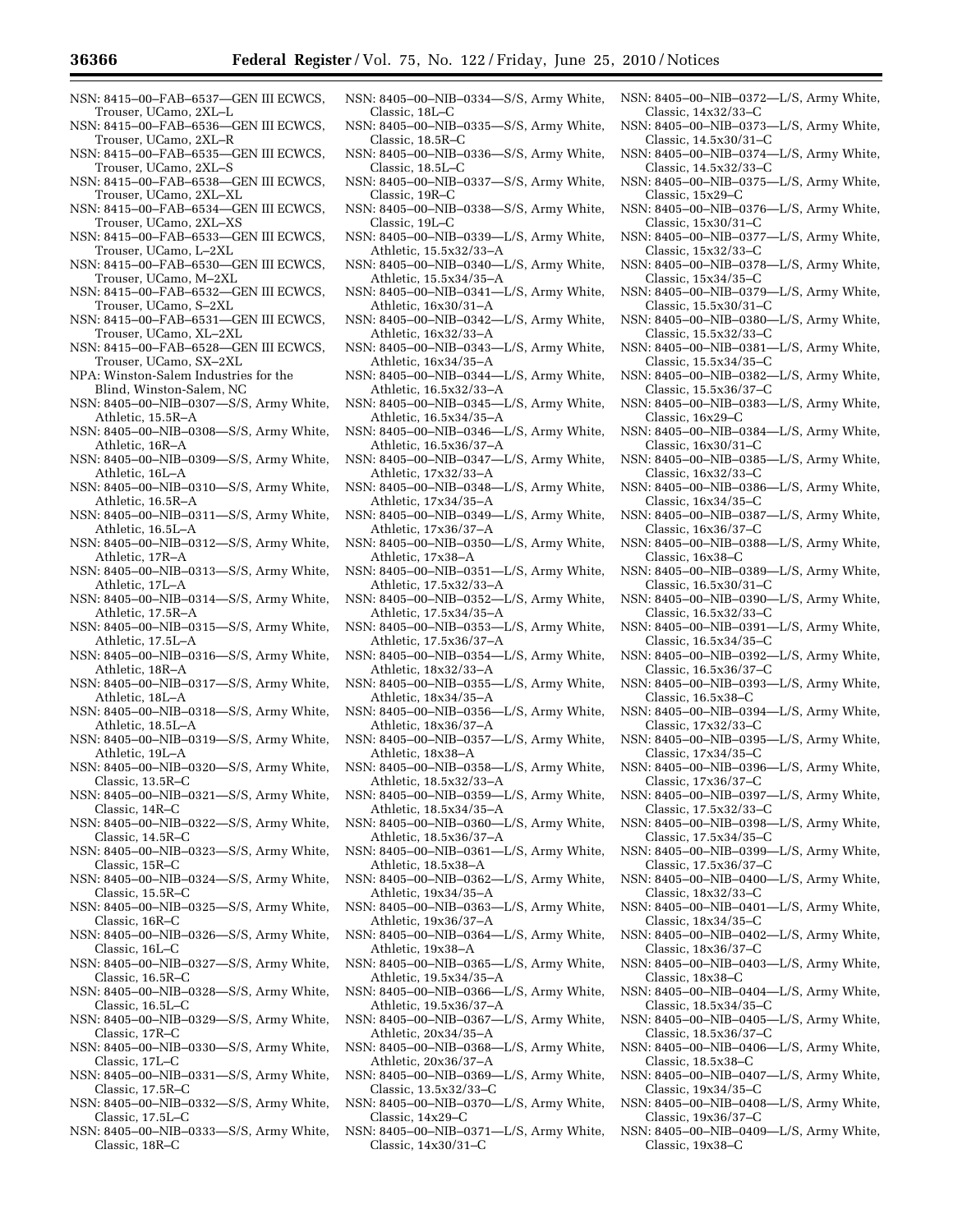- NSN: 8415–00–FAB–6537—GEN III ECWCS, Trouser, UCamo, 2XL–L
- NSN: 8415–00–FAB–6536—GEN III ECWCS, Trouser, UCamo, 2XL–R
- NSN: 8415–00–FAB–6535—GEN III ECWCS, Trouser, UCamo, 2XL–S
- NSN: 8415–00–FAB–6538—GEN III ECWCS, Trouser, UCamo, 2XL–XL
- NSN: 8415–00–FAB–6534—GEN III ECWCS, Trouser, UCamo, 2XL–XS
- NSN: 8415–00–FAB–6533—GEN III ECWCS, Trouser, UCamo, L–2XL
- NSN: 8415–00–FAB–6530—GEN III ECWCS, Trouser, UCamo, M–2XL
- NSN: 8415–00–FAB–6532—GEN III ECWCS, Trouser, UCamo, S–2XL
- NSN: 8415–00–FAB–6531—GEN III ECWCS, Trouser, UCamo, XL–2XL
- NSN: 8415–00–FAB–6528—GEN III ECWCS, Trouser, UCamo, SX–2XL
- NPA: Winston-Salem Industries for the Blind, Winston-Salem, NC
- NSN: 8405–00–NIB–0307—S/S, Army White, Athletic, 15.5R–A
- NSN: 8405–00–NIB–0308—S/S, Army White, Athletic, 16R–A
- NSN: 8405–00–NIB–0309—S/S, Army White, Athletic, 16L–A
- NSN: 8405–00–NIB–0310—S/S, Army White, Athletic, 16.5R–A
- NSN: 8405–00–NIB–0311—S/S, Army White, Athletic, 16.5L–A
- NSN: 8405–00–NIB–0312—S/S, Army White, Athletic, 17R–A
- NSN: 8405–00–NIB–0313—S/S, Army White, Athletic, 17L–A
- NSN: 8405–00–NIB–0314—S/S, Army White, Athletic, 17.5R–A
- NSN: 8405–00–NIB–0315—S/S, Army White, Athletic, 17.5L–A
- NSN: 8405–00–NIB–0316—S/S, Army White, Athletic, 18R–A
- NSN: 8405–00–NIB–0317—S/S, Army White, Athletic, 18L–A
- NSN: 8405–00–NIB–0318—S/S, Army White, Athletic, 18.5L–A
- NSN: 8405–00–NIB–0319—S/S, Army White, Athletic, 19L–A
- NSN: 8405–00–NIB–0320—S/S, Army White, Classic, 13.5R–C
- NSN: 8405–00–NIB–0321—S/S, Army White, Classic, 14R–C
- NSN: 8405–00–NIB–0322—S/S, Army White, Classic, 14.5R–C
- NSN: 8405–00–NIB–0323—S/S, Army White, Classic, 15R–C
- NSN: 8405–00–NIB–0324—S/S, Army White, Classic, 15.5R–C
- NSN: 8405–00–NIB–0325—S/S, Army White, Classic, 16R–C
- NSN: 8405–00–NIB–0326—S/S, Army White, Classic, 16L–C
- NSN: 8405–00–NIB–0327—S/S, Army White, Classic, 16.5R–C
- NSN: 8405–00–NIB–0328—S/S, Army White, Classic, 16.5L–C
- NSN: 8405–00–NIB–0329—S/S, Army White, Classic, 17R–C
- NSN: 8405–00–NIB–0330—S/S, Army White, Classic, 17L–C
- NSN: 8405–00–NIB–0331—S/S, Army White, Classic, 17.5R–C
- NSN: 8405–00–NIB–0332—S/S, Army White, Classic, 17.5L–C
- NSN: 8405–00–NIB–0333—S/S, Army White, Classic, 18R–C
- NSN: 8405–00–NIB–0334—S/S, Army White, Classic, 18L–C
- NSN: 8405–00–NIB–0335—S/S, Army White, Classic, 18.5R–C
- NSN: 8405–00–NIB–0336—S/S, Army White, Classic, 18.5L–C
- NSN: 8405–00–NIB–0337—S/S, Army White, Classic, 19R–C
- NSN: 8405–00–NIB–0338—S/S, Army White, Classic, 19L–C
- NSN: 8405–00–NIB–0339—L/S, Army White, Athletic, 15.5x32/33–A
- NSN: 8405–00–NIB–0340—L/S, Army White, Athletic, 15.5x34/35–A
- NSN: 8405–00–NIB–0341—L/S, Army White, Athletic, 16x30/31–A
- NSN: 8405–00–NIB–0342—L/S, Army White, Athletic, 16x32/33–A
- NSN: 8405–00–NIB–0343—L/S, Army White, Athletic, 16x34/35–A
- NSN: 8405–00–NIB–0344—L/S, Army White, Athletic, 16.5x32/33–A
- NSN: 8405–00–NIB–0345—L/S, Army White, Athletic, 16.5x34/35–A
- NSN: 8405–00–NIB–0346—L/S, Army White, Athletic, 16.5x36/37–A
- NSN: 8405–00–NIB–0347—L/S, Army White, Athletic, 17x32/33–A
- NSN: 8405–00–NIB–0348—L/S, Army White, Athletic, 17x34/35–A
- NSN: 8405–00–NIB–0349—L/S, Army White, Athletic, 17x36/37–A
- NSN: 8405–00–NIB–0350—L/S, Army White, Athletic, 17x38–A
- NSN: 8405–00–NIB–0351—L/S, Army White, Athletic, 17.5x32/33–A
- NSN: 8405–00–NIB–0352—L/S, Army White, Athletic, 17.5x34/35–A
- NSN: 8405–00–NIB–0353—L/S, Army White, Athletic, 17.5x36/37–A
- NSN: 8405–00–NIB–0354—L/S, Army White, Athletic, 18x32/33–A
- NSN: 8405–00–NIB–0355—L/S, Army White, Athletic, 18x34/35–A
- NSN: 8405–00–NIB–0356—L/S, Army White, Athletic, 18x36/37–A
- NSN: 8405–00–NIB–0357—L/S, Army White, Athletic, 18x38–A
- NSN: 8405–00–NIB–0358—L/S, Army White, Athletic, 18.5x32/33–A
- NSN: 8405–00–NIB–0359—L/S, Army White, Athletic, 18.5x34/35–A
- NSN: 8405–00–NIB–0360—L/S, Army White, Athletic, 18.5x36/37–A
- NSN: 8405–00–NIB–0361—L/S, Army White, Athletic, 18.5x38–A
- NSN: 8405–00–NIB–0362—L/S, Army White, Athletic, 19x34/35–A
- NSN: 8405–00–NIB–0363—L/S, Army White, Athletic, 19x36/37–A
- NSN: 8405–00–NIB–0364—L/S, Army White, Athletic, 19x38–A
- NSN: 8405–00–NIB–0365—L/S, Army White, Athletic, 19.5x34/35–A
- NSN: 8405–00–NIB–0366—L/S, Army White, Athletic, 19.5x36/37–A
- NSN: 8405–00–NIB–0367—L/S, Army White, Athletic, 20x34/35–A
- NSN: 8405–00–NIB–0368—L/S, Army White, Athletic, 20x36/37–A
- NSN: 8405–00–NIB–0369—L/S, Army White, Classic, 13.5x32/33–C
- NSN: 8405–00–NIB–0370—L/S, Army White, Classic, 14x29–C
- NSN: 8405–00–NIB–0371—L/S, Army White, Classic, 14x30/31–C
- NSN: 8405–00–NIB–0372—L/S, Army White, Classic, 14x32/33–C
- NSN: 8405–00–NIB–0373—L/S, Army White, Classic, 14.5x30/31–C
- NSN: 8405–00–NIB–0374—L/S, Army White, Classic, 14.5x32/33–C
- NSN: 8405–00–NIB–0375—L/S, Army White, Classic, 15x29–C
- NSN: 8405–00–NIB–0376—L/S, Army White, Classic, 15x30/31–C
- NSN: 8405–00–NIB–0377—L/S, Army White, Classic, 15x32/33–C
- NSN: 8405–00–NIB–0378—L/S, Army White, Classic, 15x34/35–C
- NSN: 8405–00–NIB–0379—L/S, Army White, Classic, 15.5x30/31–C
- NSN: 8405–00–NIB–0380—L/S, Army White, Classic, 15.5x32/33–C
- NSN: 8405–00–NIB–0381—L/S, Army White, Classic, 15.5x34/35–C
- NSN: 8405–00–NIB–0382—L/S, Army White, Classic, 15.5x36/37–C
- NSN: 8405–00–NIB–0383—L/S, Army White, Classic, 16x29–C
- NSN: 8405–00–NIB–0384—L/S, Army White, Classic, 16x30/31–C
- NSN: 8405–00–NIB–0385—L/S, Army White, Classic, 16x32/33–C
- NSN: 8405–00–NIB–0386—L/S, Army White, Classic, 16x34/35–C
- NSN: 8405–00–NIB–0387—L/S, Army White, Classic, 16x36/37–C
- NSN: 8405–00–NIB–0388—L/S, Army White, Classic, 16x38–C
- NSN: 8405–00–NIB–0389—L/S, Army White, Classic, 16.5x30/31–C
- NSN: 8405–00–NIB–0390—L/S, Army White, Classic, 16.5x32/33–C
- NSN: 8405–00–NIB–0391—L/S, Army White, Classic, 16.5x34/35–C
- NSN: 8405–00–NIB–0392—L/S, Army White, Classic, 16.5x36/37–C
- NSN: 8405–00–NIB–0393—L/S, Army White, Classic, 16.5x38–C
- NSN: 8405–00–NIB–0394—L/S, Army White, Classic, 17x32/33–C NSN: 8405–00–NIB–0395—L/S, Army White,

NSN: 8405–00–NIB–0396—L/S, Army White,

NSN: 8405–00–NIB–0397—L/S, Army White,

NSN: 8405–00–NIB–0398—L/S, Army White,

NSN: 8405–00–NIB–0399—L/S, Army White,

NSN: 8405–00–NIB–0400—L/S, Army White,

NSN: 8405–00–NIB–0401—L/S, Army White,

NSN: 8405–00–NIB–0402—L/S, Army White,

NSN: 8405–00–NIB–0403—L/S, Army White,

NSN: 8405–00–NIB–0404—L/S, Army White,

NSN: 8405–00–NIB–0405—L/S, Army White,

NSN: 8405–00–NIB–0406—L/S, Army White,

NSN: 8405–00–NIB–0407—L/S, Army White,

NSN: 8405–00–NIB–0408—L/S, Army White,

NSN: 8405–00–NIB–0409—L/S, Army White,

Classic, 17x34/35–C

Classic, 17x36/37–C

Classic, 17.5x32/33–C

Classic, 17.5x34/35–C

Classic, 17.5x36/37–C

Classic, 18x32/33–C

Classic, 18x34/35–C

Classic, 18x36/37–C

Classic, 18.5x34/35–C

Classic, 18.5x36/37–C

Classic, 18.5x38–C

Classic, 19x34/35–C

Classic, 19x36/37–C

Classic, 19x38–C

Classic, 18x38–C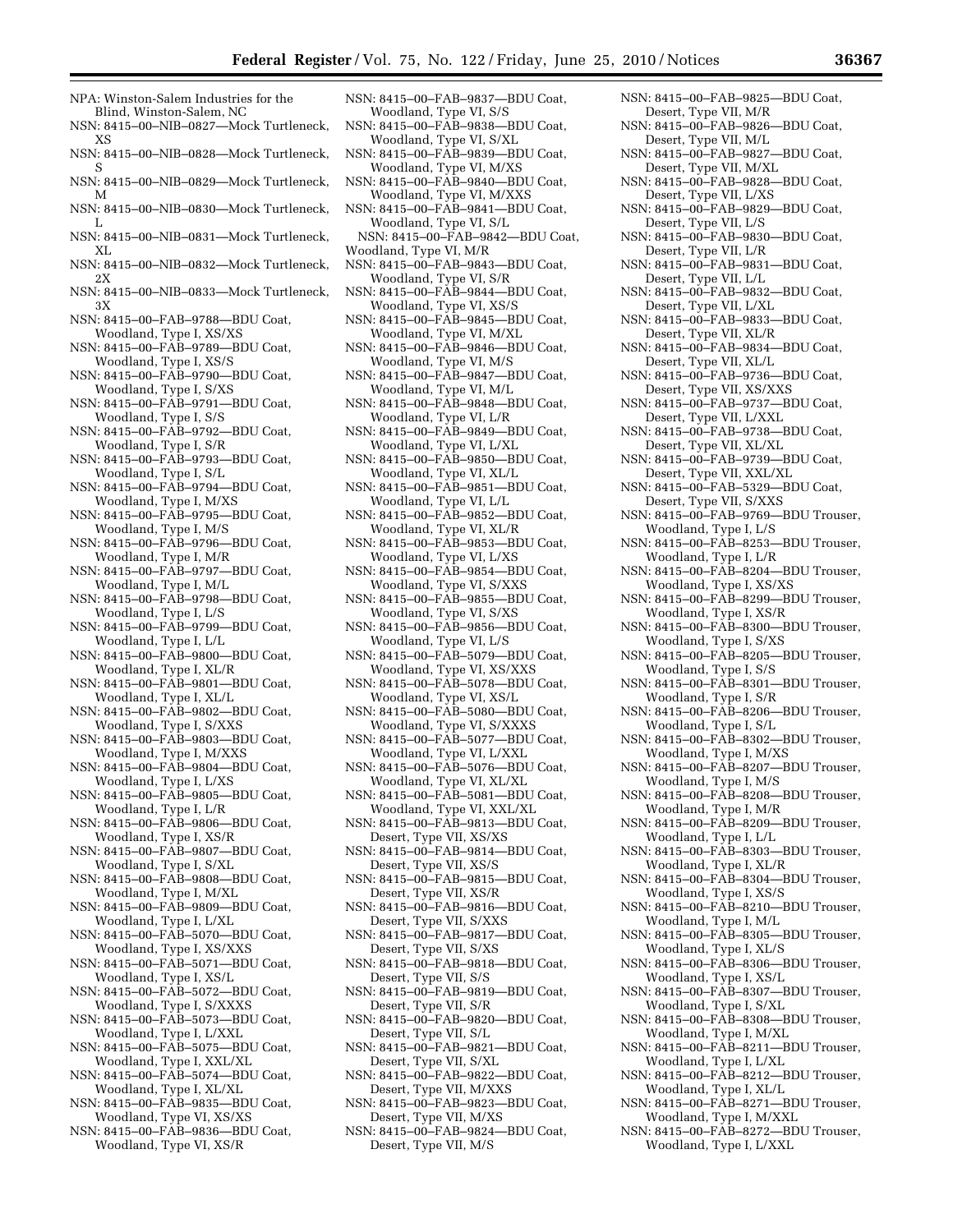- NPA: Winston-Salem Industries for the Blind, Winston-Salem, NC
- NSN: 8415–00–NIB–0827—Mock Turtleneck, XS
- NSN: 8415–00–NIB–0828—Mock Turtleneck, S
- NSN: 8415–00–NIB–0829—Mock Turtleneck, M
- NSN: 8415–00–NIB–0830—Mock Turtleneck, L
- NSN: 8415–00–NIB–0831—Mock Turtleneck, XL
- NSN: 8415–00–NIB–0832—Mock Turtleneck, 2X
- NSN: 8415–00–NIB–0833—Mock Turtleneck, 3X
- NSN: 8415–00–FAB–9788—BDU Coat, Woodland, Type I, XS/XS
- NSN: 8415–00–FAB–9789—BDU Coat, Woodland, Type I, XS/S
- NSN: 8415–00–FAB–9790—BDU Coat, Woodland, Type I, S/XS
- NSN: 8415–00–FAB–9791—BDU Coat, Woodland, Type I, S/S
- NSN: 8415–00–FAB–9792—BDU Coat, Woodland, Type I, S/R
- NSN: 8415–00–FAB–9793—BDU Coat, Woodland, Type I, S/L
- NSN: 8415–00–FAB–9794—BDU Coat, Woodland, Type I, M/XS
- NSN: 8415–00–FAB–9795—BDU Coat, Woodland, Type I, M/S
- NSN: 8415–00–FAB–9796—BDU Coat, Woodland, Type I, M/R
- NSN: 8415–00–FAB–9797—BDU Coat, Woodland, Type I, M/L
- NSN: 8415–00–FAB–9798—BDU Coat, Woodland, Type I, L/S
- NSN: 8415–00–FAB–9799—BDU Coat, Woodland, Type I, L/L
- NSN: 8415–00–FAB–9800—BDU Coat, Woodland, Type I, XL/R
- NSN: 8415–00–FAB–9801—BDU Coat, Woodland, Type I, XL/L
- NSN: 8415–00–FAB–9802—BDU Coat, Woodland, Type I, S/XXS
- NSN: 8415–00–FAB–9803—BDU Coat, Woodland, Type I, M/XXS
- NSN: 8415–00–FAB–9804—BDU Coat, Woodland, Type I, L/XS
- NSN: 8415–00–FAB–9805—BDU Coat, Woodland, Type I, L/R
- NSN: 8415–00–FAB–9806—BDU Coat, Woodland, Type I, XS/R NSN: 8415–00–FAB–9807—BDU Coat,
- Woodland, Type I, S/XL
- NSN: 8415–00–FAB–9808—BDU Coat, Woodland, Type I, M/XL
- NSN: 8415–00–FAB–9809—BDU Coat, Woodland, Type I, L/XL
- NSN: 8415–00–FAB–5070—BDU Coat, Woodland, Type I, XS/XXS
- NSN: 8415–00–FAB–5071—BDU Coat, Woodland, Type I, XS/L
- NSN: 8415–00–FAB–5072—BDU Coat, Woodland, Type I, S/XXXS
- NSN: 8415–00–FAB–5073—BDU Coat, Woodland, Type I, L/XXL
- NSN: 8415–00–FAB–5075—BDU Coat, Woodland, Type I, XXL/XL
- NSN: 8415–00–FAB–5074—BDU Coat, Woodland, Type I, XL/XL
- NSN: 8415–00–FAB–9835—BDU Coat, Woodland, Type VI, XS/XS
- NSN: 8415–00–FAB–9836—BDU Coat, Woodland, Type VI, XS/R
- NSN: 8415–00–FAB–9837—BDU Coat, Woodland, Type VI, S/S
- NSN: 8415–00–FAB–9838—BDU Coat, Woodland, Type VI, S/XL
- NSN: 8415–00–FAB–9839—BDU Coat, Woodland, Type VI, M/XS
- NSN: 8415–00–FAB–9840—BDU Coat, Woodland, Type VI, M/XXS
- NSN: 8415–00–FAB–9841—BDU Coat, Woodland, Type VI, S/L
- NSN: 8415–00–FAB–9842—BDU Coat, Woodland, Type VI, M/R
- NSN: 8415–00–FAB–9843—BDU Coat, Woodland, Type VI, S/R
- NSN: 8415–00–FAB–9844—BDU Coat, Woodland, Type VI, XS/S
- NSN: 8415–00–FAB–9845—BDU Coat, Woodland, Type VI, M/XL
- NSN: 8415–00–FAB–9846—BDU Coat, Woodland, Type VI, M/S
- NSN: 8415–00–FAB–9847—BDU Coat, Woodland, Type VI, M/L
- NSN: 8415–00–FAB–9848—BDU Coat, Woodland, Type VI, L/R
- NSN: 8415–00–FAB–9849—BDU Coat, Woodland, Type VI, L/XL
- NSN: 8415–00–FAB–9850—BDU Coat, Woodland, Type VI, XL/L
- NSN: 8415–00–FAB–9851—BDU Coat, Woodland, Type VI, L/L
- NSN: 8415–00–FAB–9852—BDU Coat, Woodland, Type VI, XL/R
- NSN: 8415–00–FAB–9853—BDU Coat, Woodland, Type VI, L/XS
- NSN: 8415–00–FAB–9854—BDU Coat, Woodland, Type VI, S/XXS
- NSN: 8415–00–FAB–9855—BDU Coat, Woodland, Type VI, S/XS
- NSN: 8415–00–FAB–9856—BDU Coat, Woodland, Type VI, L/S
- NSN: 8415–00–FAB–5079—BDU Coat, Woodland, Type VI, XS/XXS
- NSN: 8415–00–FAB–5078—BDU Coat, Woodland, Type VI, XS/L NSN: 8415–00–FAB–5080—BDU Coat,
- Woodland, Type VI, S/XXXS
- NSN: 8415–00–FAB–5077—BDU Coat, Woodland, Type VI, L/XXL NSN: 8415–00–FAB–5076—BDU Coat,
- Woodland, Type VI, XL/XL
- NSN: 8415–00–FAB–5081—BDU Coat, Woodland, Type VI, XXL/XL
- NSN: 8415–00–FAB–9813—BDU Coat, Desert, Type VII, XS/XS
- NSN: 8415–00–FAB–9814—BDU Coat, Desert, Type VII, XS/S
- NSN: 8415–00–FAB–9815—BDU Coat, Desert, Type VII, XS/R
- NSN: 8415–00–FAB–9816—BDU Coat, Desert, Type VII, S/XXS
- NSN: 8415–00–FAB–9817—BDU Coat, Desert, Type VII, S/XS
- NSN: 8415–00–FAB–9818—BDU Coat, Desert, Type VII, S/S
- NSN: 8415–00–FAB–9819—BDU Coat, Desert, Type VII, S/R
- NSN: 8415–00–FAB–9820—BDU Coat, Desert, Type VII, S/L
- NSN: 8415–00–FAB–9821—BDU Coat, Desert, Type VII, S/XL
- NSN: 8415–00–FAB–9822—BDU Coat, Desert, Type VII, M/XXS
- NSN: 8415–00–FAB–9823—BDU Coat, Desert, Type VII, M/XS
- NSN: 8415–00–FAB–9824—BDU Coat, Desert, Type VII, M/S
- NSN: 8415–00–FAB–9825—BDU Coat, Desert, Type VII, M/R NSN: 8415–00–FAB–9826—BDU Coat,
- Desert, Type VII, M/L NSN: 8415–00–FAB–9827—BDU Coat,
- Desert, Type VII, M/XL NSN: 8415–00–FAB–9828—BDU Coat,
- Desert, Type VII, L/XS NSN: 8415–00–FAB–9829—BDU Coat,
- Desert, Type VII, L/S NSN: 8415–00–FAB–9830—BDU Coat,
- Desert, Type VII, L/R
- NSN: 8415–00–FAB–9831—BDU Coat, Desert, Type VII, L/L
- NSN: 8415–00–FAB–9832—BDU Coat, Desert, Type VII, L/XL
- NSN: 8415–00–FAB–9833—BDU Coat, Desert, Type VII, XL/R
- NSN: 8415–00–FAB–9834—BDU Coat, Desert, Type VII, XL/L
- NSN: 8415–00–FAB–9736—BDU Coat, Desert, Type VII, XS/XXS
- NSN: 8415–00–FAB–9737—BDU Coat, Desert, Type VII, L/XXL
- NSN: 8415–00–FAB–9738—BDU Coat, Desert, Type VII, XL/XL
- NSN: 8415–00–FAB–9739—BDU Coat, Desert, Type VII, XXL/XL
- NSN: 8415–00–FAB–5329—BDU Coat, Desert, Type VII, S/XXS
- NSN: 8415–00–FAB–9769—BDU Trouser, Woodland, Type I, L/S
- NSN: 8415–00–FAB–8253—BDU Trouser, Woodland, Type I, L/R
- NSN: 8415–00–FAB–8204—BDU Trouser, Woodland, Type I, XS/XS
- NSN: 8415–00–FAB–8299—BDU Trouser, Woodland, Type I, XS/R
- NSN: 8415–00–FAB–8300—BDU Trouser, Woodland, Type I, S/XS
- NSN: 8415–00–FAB–8205—BDU Trouser, Woodland, Type I, S/S
- NSN: 8415–00–FAB–8301—BDU Trouser, Woodland, Type I, S/R
- NSN: 8415–00–FAB–8206—BDU Trouser, Woodland, Type I, S/L NSN: 8415–00–FAB–8302—BDU Trouser,

NSN: 8415–00–FAB–8303—BDU Trouser, Woodland, Type I, XL/R NSN: 8415–00–FAB–8304—BDU Trouser, Woodland, Type I, XS/S NSN: 8415–00–FAB–8210—BDU Trouser, Woodland, Type I, M/L NSN: 8415–00–FAB–8305—BDU Trouser, Woodland, Type I, XL/S NSN: 8415–00–FAB–8306—BDU Trouser, Woodland, Type I, XS/L NSN: 8415–00–FAB–8307—BDU Trouser, Woodland, Type I, S/XL NSN: 8415–00–FAB–8308—BDU Trouser, Woodland, Type I, M/XL NSN: 8415–00–FAB–8211—BDU Trouser, Woodland, Type I, L/XL NSN: 8415–00–FAB–8212—BDU Trouser, Woodland, Type I, XL/L NSN: 8415–00–FAB–8271—BDU Trouser, Woodland, Type I, M/XXL NSN: 8415–00–FAB–8272—BDU Trouser, Woodland, Type I, L/XXL

Woodland, Type I, M/XS NSN: 8415–00–FAB–8207—BDU Trouser, Woodland, Type I, M/S NSN: 8415–00–FAB–8208—BDU Trouser, Woodland, Type I, M/R NSN: 8415–00–FAB–8209—BDU Trouser,

Woodland, Type I, L/L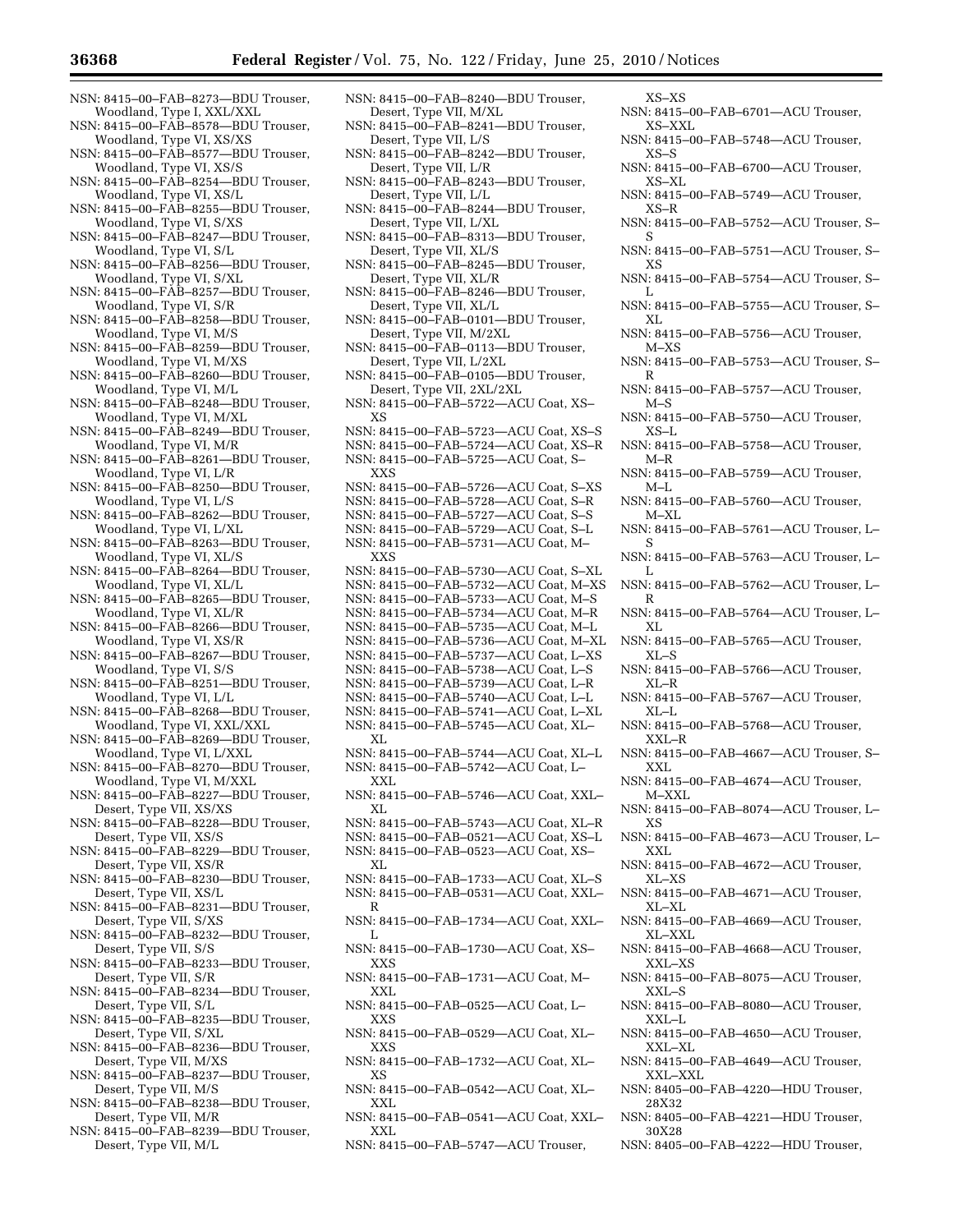- NSN: 8415–00–FAB–8273—BDU Trouser, Woodland, Type I, XXL/XXL
- NSN: 8415–00–FAB–8578—BDU Trouser, Woodland, Type VI, XS/XS
- NSN: 8415–00–FAB–8577—BDU Trouser, Woodland, Type VI, XS/S
- NSN: 8415–00–FAB–8254—BDU Trouser, Woodland, Type VI, XS/L
- NSN: 8415–00–FAB–8255—BDU Trouser, Woodland, Type VI, S/XS
- NSN: 8415–00–FAB–8247—BDU Trouser, Woodland, Type VI, S/L
- NSN: 8415–00–FAB–8256—BDU Trouser, Woodland, Type VI, S/XL
- NSN: 8415–00–FAB–8257—BDU Trouser, Woodland, Type VI, S/R
- NSN: 8415–00–FAB–8258—BDU Trouser, Woodland, Type VI, M/S
- NSN: 8415–00–FAB–8259—BDU Trouser, Woodland, Type VI, M/XS
- NSN: 8415–00–FAB–8260—BDU Trouser, Woodland, Type VI, M/L
- NSN: 8415–00–FAB–8248—BDU Trouser, Woodland, Type VI, M/XL
- NSN: 8415–00–FAB–8249—BDU Trouser, Woodland, Type VI, M/R
- NSN: 8415–00–FAB–8261—BDU Trouser, Woodland, Type VI, L/R
- NSN: 8415–00–FAB–8250—BDU Trouser, Woodland, Type VI, L/S
- NSN: 8415–00–FAB–8262—BDU Trouser, Woodland, Type VI, L/XL
- NSN: 8415–00–FAB–8263—BDU Trouser, Woodland, Type VI, XL/S
- NSN: 8415–00–FAB–8264—BDU Trouser, Woodland, Type VI, XL/L
- NSN: 8415–00–FAB–8265—BDU Trouser, Woodland, Type VI, XL/R
- NSN: 8415–00–FAB–8266—BDU Trouser, Woodland, Type VI, XS/R
- NSN: 8415–00–FAB–8267—BDU Trouser, Woodland, Type VI, S/S
- NSN: 8415–00–FAB–8251—BDU Trouser, Woodland, Type VI, L/L
- NSN: 8415–00–FAB–8268—BDU Trouser, Woodland, Type VI, XXL/XXL
- NSN: 8415–00–FAB–8269—BDU Trouser, Woodland, Type VI, L/XXL
- NSN: 8415–00–FAB–8270—BDU Trouser, Woodland, Type VI, M/XXL
- NSN: 8415–00–FAB–8227—BDU Trouser, Desert, Type VII, XS/XS
- NSN: 8415–00–FAB–8228—BDU Trouser, Desert, Type VII, XS/S
- NSN: 8415–00–FAB–8229—BDU Trouser, Desert, Type VII, XS/R
- NSN: 8415–00–FAB–8230—BDU Trouser, Desert, Type VII, XS/L
- NSN: 8415–00–FAB–8231—BDU Trouser, Desert, Type VII, S/XS
- NSN: 8415–00–FAB–8232—BDU Trouser, Desert, Type VII, S/S
- NSN: 8415–00–FAB–8233—BDU Trouser, Desert, Type VII, S/R
- NSN: 8415–00–FAB–8234—BDU Trouser, Desert, Type VII, S/L
- NSN: 8415–00–FAB–8235—BDU Trouser, Desert, Type VII, S/XL
- NSN: 8415–00–FAB–8236—BDU Trouser, Desert, Type VII, M/XS
- NSN: 8415–00–FAB–8237—BDU Trouser, Desert, Type VII, M/S
- NSN: 8415–00–FAB–8238—BDU Trouser, Desert, Type VII, M/R
- NSN: 8415–00–FAB–8239—BDU Trouser, Desert, Type VII, M/L
- NSN: 8415–00–FAB–8240—BDU Trouser, Desert, Type VII, M/XL
- NSN: 8415–00–FAB–8241—BDU Trouser, Desert, Type VII, L/S
- NSN: 8415–00–FAB–8242—BDU Trouser, Desert, Type VII, L/R
- NSN: 8415–00–FAB–8243—BDU Trouser, Desert, Type VII, L/L
- NSN: 8415–00–FAB–8244—BDU Trouser, Desert, Type VII, L/XL
- NSN: 8415–00–FAB–8313—BDU Trouser, Desert, Type VII, XL/S
- NSN: 8415–00–FAB–8245—BDU Trouser, Desert, Type VII, XL/R
- NSN: 8415–00–FAB–8246—BDU Trouser, Desert, Type VII, XL/L
- NSN: 8415–00–FAB–0101—BDU Trouser, Desert, Type VII, M/2XL
- NSN: 8415–00–FAB–0113—BDU Trouser, Desert, Type VII, L/2XL
- NSN: 8415–00–FAB–0105—BDU Trouser, Desert, Type VII, 2XL/2XL
- NSN: 8415–00–FAB–5722—ACU Coat, XS– XS
- NSN: 8415–00–FAB–5723—ACU Coat, XS–S
- NSN: 8415–00–FAB–5724—ACU Coat, XS–R
- NSN: 8415–00–FAB–5725—ACU Coat, S– XXS
- NSN: 8415–00–FAB–5726—ACU Coat, S–XS
- NSN: 8415–00–FAB–5728—ACU Coat, S–R NSN: 8415–00–FAB–5727—ACU Coat, S–S
- NSN: 8415–00–FAB–5729—ACU Coat, S–L
- NSN: 8415–00–FAB–5731—ACU Coat, M– XXS
- NSN: 8415–00–FAB–5730—ACU Coat, S–XL NSN: 8415–00–FAB–5732—ACU Coat, M–XS
- NSN: 8415–00–FAB–5733—ACU Coat, M–S NSN: 8415–00–FAB–5734—ACU Coat, M–R NSN: 8415–00–FAB–5735—ACU Coat, M–L
- NSN: 8415–00–FAB–5736—ACU Coat, M–XL NSN: 8415–00–FAB–5737—ACU Coat, L–XS
	- NSN: 8415–00–FAB–5738—ACU Coat, L–S NSN: 8415–00–FAB–5739—ACU Coat, L–R
- NSN: 8415–00–FAB–5740—ACU Coat, L–L NSN: 8415–00–FAB–5741—ACU Coat, L–XL
- NSN: 8415–00–FAB–5745—ACU Coat, XL–
- XL NSN: 8415–00–FAB–5744—ACU Coat, XL–L
- NSN: 8415–00–FAB–5742—ACU Coat, L– XXL
- NSN: 8415–00–FAB–5746—ACU Coat, XXL– XL
- NSN: 8415–00–FAB–5743—ACU Coat, XL–R NSN: 8415–00–FAB–0521—ACU Coat, XS–L NSN: 8415–00–FAB–0523—ACU Coat, XS–
- XL NSN: 8415–00–FAB–1733—ACU Coat, XL–S NSN: 8415–00–FAB–0531—ACU Coat, XXL–
- R NSN: 8415–00–FAB–1734—ACU Coat, XXL–
- L NSN: 8415–00–FAB–1730—ACU Coat, XS–
- XXS NSN: 8415–00–FAB–1731—ACU Coat, M– XXL
- NSN: 8415–00–FAB–0525—ACU Coat, L– XXS
- NSN: 8415–00–FAB–0529—ACU Coat, XL– XXS
- NSN: 8415–00–FAB–1732—ACU Coat, XL– XS
- NSN: 8415–00–FAB–0542—ACU Coat, XL– XXL
- NSN: 8415–00–FAB–0541—ACU Coat, XXL– XXL
- NSN: 8415–00–FAB–5747—ACU Trouser,
- NSN: 8415–00–FAB–5749—ACU Trouser, XS–R NSN: 8415–00–FAB–5752—ACU Trouser, S– S NSN: 8415–00–FAB–5751—ACU Trouser, S– XS NSN: 8415–00–FAB–5754—ACU Trouser, S– L NSN: 8415–00–FAB–5755—ACU Trouser, S– XL NSN: 8415–00–FAB–5756—ACU Trouser, M–XS NSN: 8415–00–FAB–5753—ACU Trouser, S– R NSN: 8415–00–FAB–5757—ACU Trouser, M–S NSN: 8415–00–FAB–5750—ACU Trouser, XS–L NSN: 8415–00–FAB–5758—ACU Trouser, M–R NSN: 8415–00–FAB–5759—ACU Trouser, M–L NSN: 8415–00–FAB–5760—ACU Trouser, M–XL NSN: 8415–00–FAB–5761—ACU Trouser, L– S NSN: 8415–00–FAB–5763—ACU Trouser, L–  $\mathbf{I}$ . NSN: 8415–00–FAB–5762—ACU Trouser, L– R NSN: 8415–00–FAB–5764—ACU Trouser, L– XL NSN: 8415–00–FAB–5765—ACU Trouser, XL–S NSN: 8415–00–FAB–5766—ACU Trouser,  $XL-R$ NSN: 8415–00–FAB–5767—ACU Trouser, XL–L NSN: 8415–00–FAB–5768—ACU Trouser, XXL–R NSN: 8415–00–FAB–4667—ACU Trouser, S– XXL NSN: 8415–00–FAB–4674—ACU Trouser, M–XXL NSN: 8415–00–FAB–8074—ACU Trouser, L– XS NSN: 8415–00–FAB–4673—ACU Trouser, L– XXL NSN: 8415–00–FAB–4672—ACU Trouser, XL–XS NSN: 8415–00–FAB–4671—ACU Trouser, XL–XL
	- NSN: 8415–00–FAB–4669—ACU Trouser, XL–XXL
	- NSN: 8415–00–FAB–4668—ACU Trouser, XXL–XS
	- NSN: 8415–00–FAB–8075—ACU Trouser, XXL–S
	- NSN: 8415–00–FAB–8080—ACU Trouser, XXL–L
	- NSN: 8415–00–FAB–4650—ACU Trouser, XXL–XL
	- NSN: 8415–00–FAB–4649—ACU Trouser, XXL–XXL
	- NSN: 8405–00–FAB–4220—HDU Trouser, 28X32
- NSN: 8405–00–FAB–4221—HDU Trouser, 30X28
- NSN: 8405–00–FAB–4222—HDU Trouser,
- XS–XS
- NSN: 8415–00–FAB–6701—ACU Trouser, XS–XXL
- NSN: 8415–00–FAB–5748—ACU Trouser, XS–S
- NSN: 8415–00–FAB–6700—ACU Trouser, XS–XL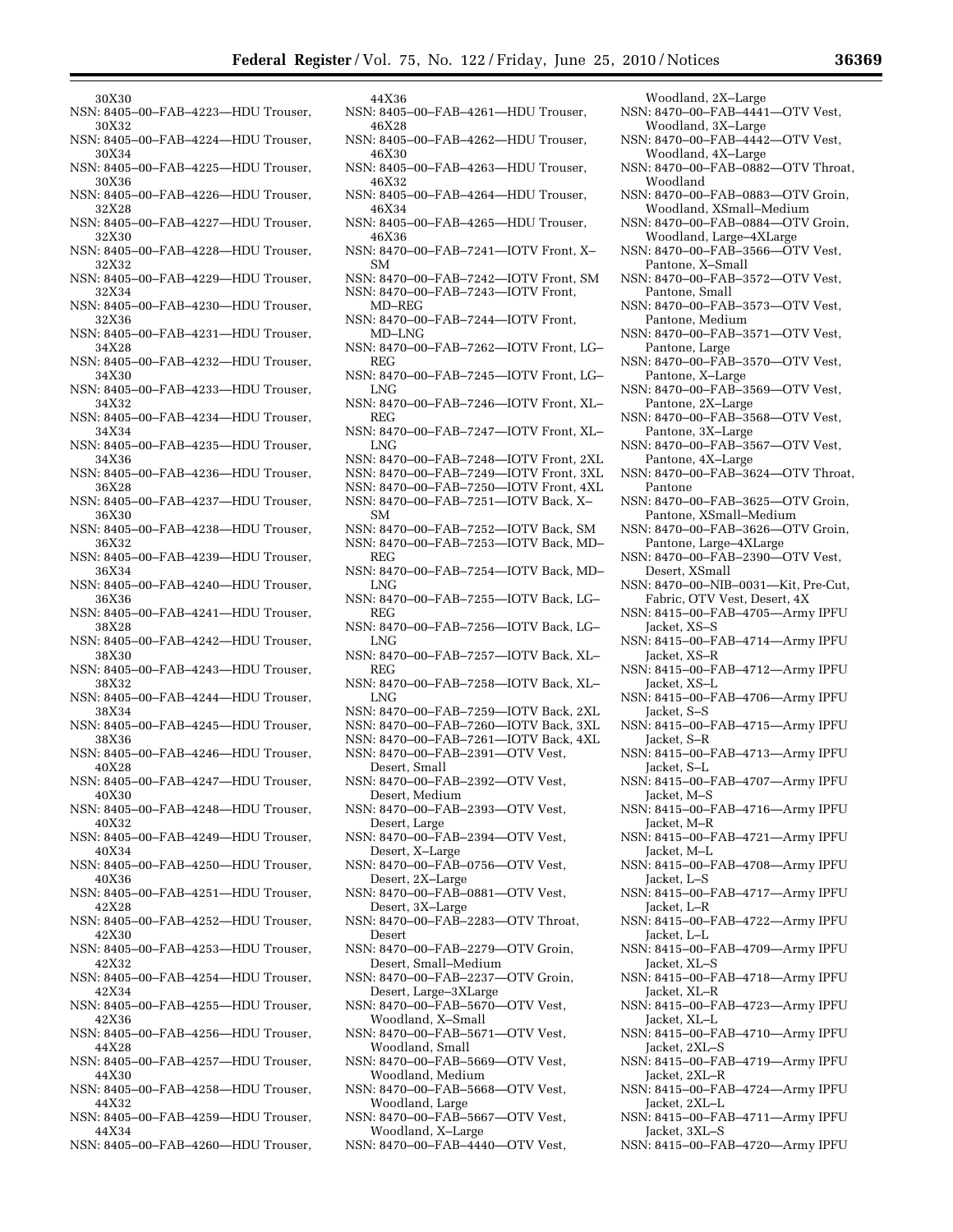- 30X30
- NSN: 8405–00–FAB–4223—HDU Trouser, 30X32
- NSN: 8405–00–FAB–4224—HDU Trouser, 30X34
- NSN: 8405–00–FAB–4225—HDU Trouser, 30X36
- NSN: 8405–00–FAB–4226—HDU Trouser, 32X28
- NSN: 8405–00–FAB–4227—HDU Trouser, 32X30
- NSN: 8405–00–FAB–4228—HDU Trouser, 32X32
- NSN: 8405–00–FAB–4229—HDU Trouser, 32X34
- NSN: 8405–00–FAB–4230—HDU Trouser, 32X36
- NSN: 8405–00–FAB–4231—HDU Trouser, 34X28
- NSN: 8405–00–FAB–4232—HDU Trouser, 34X30
- NSN: 8405–00–FAB–4233—HDU Trouser, 34X32
- NSN: 8405–00–FAB–4234—HDU Trouser, 34X34
- NSN: 8405–00–FAB–4235—HDU Trouser, 34X36
- NSN: 8405–00–FAB–4236—HDU Trouser, 36X28
- NSN: 8405–00–FAB–4237—HDU Trouser, 36X30
- NSN: 8405–00–FAB–4238—HDU Trouser, 36X32
- NSN: 8405–00–FAB–4239—HDU Trouser, 36X34
- NSN: 8405–00–FAB–4240—HDU Trouser, 36X36
- NSN: 8405–00–FAB–4241—HDU Trouser, 38X28
- NSN: 8405–00–FAB–4242—HDU Trouser, 38X30
- NSN: 8405–00–FAB–4243—HDU Trouser, 38X32
- NSN: 8405–00–FAB–4244—HDU Trouser, 38X34
- NSN: 8405–00–FAB–4245—HDU Trouser, 38X36
- NSN: 8405–00–FAB–4246—HDU Trouser, 40X28
- NSN: 8405–00–FAB–4247—HDU Trouser, 40X30
- NSN: 8405–00–FAB–4248—HDU Trouser, 40X32
- NSN: 8405–00–FAB–4249—HDU Trouser, 40X34
- NSN: 8405–00–FAB–4250—HDU Trouser, 40X36
- NSN: 8405–00–FAB–4251—HDU Trouser, 42X28
- NSN: 8405–00–FAB–4252—HDU Trouser, 42X30
- NSN: 8405–00–FAB–4253—HDU Trouser, 42X32
- NSN: 8405–00–FAB–4254—HDU Trouser, 42X34
- NSN: 8405–00–FAB–4255—HDU Trouser, 42X36
- NSN: 8405–00–FAB–4256—HDU Trouser, 44X28
- NSN: 8405–00–FAB–4257—HDU Trouser, 44X30
- NSN: 8405–00–FAB–4258—HDU Trouser, 44X32
- NSN: 8405–00–FAB–4259—HDU Trouser, 44X34
- NSN: 8405–00–FAB–4260—HDU Trouser,
- 44X36
- NSN: 8405–00–FAB–4261—HDU Trouser, 46X28 NSN: 8405–00–FAB–4262—HDU Trouser,
- 46X30 NSN: 8405–00–FAB–4263—HDU Trouser,
- 46X32 NSN: 8405–00–FAB–4264—HDU Trouser,
- 46X34 NSN: 8405–00–FAB–4265—HDU Trouser,
- 46X36 NSN: 8470–00–FAB–7241—IOTV Front, X–
- SM NSN: 8470–00–FAB–7242—IOTV Front, SM NSN: 8470–00–FAB–7243—IOTV Front,
- MD–REG
- NSN: 8470–00–FAB–7244—IOTV Front, MD–LNG
- NSN: 8470–00–FAB–7262—IOTV Front, LG– REG
- NSN: 8470–00–FAB–7245—IOTV Front, LG– LNG
- NSN: 8470–00–FAB–7246—IOTV Front, XL– REG
- NSN: 8470–00–FAB–7247—IOTV Front, XL– LNG
- NSN: 8470–00–FAB–7248—IOTV Front, 2XL
- NSN: 8470–00–FAB–7249—IOTV Front, 3XL
- NSN: 8470–00–FAB–7250—IOTV Front, 4XL
- NSN: 8470–00–FAB–7251—IOTV Back, X–
- SM NSN: 8470–00–FAB–7252—IOTV Back, SM NSN: 8470–00–FAB–7253—IOTV Back, MD–
- REG NSN: 8470–00–FAB–7254—IOTV Back, MD–
- LNG
- NSN: 8470–00–FAB–7255—IOTV Back, LG– REG
- NSN: 8470–00–FAB–7256—IOTV Back, LG– LNG
- NSN: 8470–00–FAB–7257—IOTV Back, XL– REG
- NSN: 8470–00–FAB–7258—IOTV Back, XL– LNG
- NSN: 8470–00–FAB–7259—IOTV Back, 2XL
- NSN: 8470–00–FAB–7260—IOTV Back, 3XL
- NSN: 8470–00–FAB–7261—IOTV Back, 4XL NSN: 8470–00–FAB–2391—OTV Vest,
- Desert, Small
- NSN: 8470–00–FAB–2392—OTV Vest,
- Desert, Medium NSN: 8470–00–FAB–2393—OTV Vest, Desert, Large
- NSN: 8470–00–FAB–2394—OTV Vest, Desert, X–Large
- NSN: 8470–00–FAB–0756—OTV Vest, Desert, 2X–Large
- NSN: 8470–00–FAB–0881—OTV Vest, Desert, 3X–Large
- NSN: 8470–00–FAB–2283—OTV Throat, Desert
- NSN: 8470–00–FAB–2279—OTV Groin, Desert, Small–Medium
- NSN: 8470–00–FAB–2237—OTV Groin, Desert, Large–3XLarge
- NSN: 8470–00–FAB–5670—OTV Vest, Woodland, X–Small
- NSN: 8470–00–FAB–5671—OTV Vest, Woodland, Small
- NSN: 8470–00–FAB–5669—OTV Vest, Woodland, Medium
- NSN: 8470–00–FAB–5668—OTV Vest, Woodland, Large
- NSN: 8470–00–FAB–5667—OTV Vest, Woodland, X–Large
- NSN: 8470–00–FAB–4440—OTV Vest,
- Woodland, 2X–Large
- NSN: 8470–00–FAB–4441—OTV Vest, Woodland, 3X–Large
- NSN: 8470–00–FAB–4442—OTV Vest, Woodland, 4X–Large
- NSN: 8470–00–FAB–0882—OTV Throat, Woodland
- NSN: 8470–00–FAB–0883—OTV Groin, Woodland, XSmall–Medium
- NSN: 8470–00–FAB–0884—OTV Groin, Woodland, Large–4XLarge
- NSN: 8470–00–FAB–3566—OTV Vest, Pantone, X–Small
- NSN: 8470–00–FAB–3572—OTV Vest, Pantone, Small
- NSN: 8470–00–FAB–3573—OTV Vest, Pantone, Medium
- NSN: 8470–00–FAB–3571—OTV Vest, Pantone, Large
- NSN: 8470–00–FAB–3570—OTV Vest, Pantone, X–Large
- NSN: 8470–00–FAB–3569—OTV Vest, Pantone, 2X–Large
- NSN: 8470–00–FAB–3568—OTV Vest, Pantone, 3X–Large
- NSN: 8470–00–FAB–3567—OTV Vest, Pantone, 4X–Large
- NSN: 8470–00–FAB–3624—OTV Throat, Pantone
- NSN: 8470–00–FAB–3625—OTV Groin, Pantone, XSmall–Medium
- NSN: 8470–00–FAB–3626—OTV Groin, Pantone, Large–4XLarge
- NSN: 8470–00–FAB–2390—OTV Vest, Desert, XSmall NSN: 8470–00–NIB–0031—Kit, Pre-Cut,

Fabric, OTV Vest, Desert, 4X NSN: 8415–00–FAB–4705—Army IPFU

NSN: 8415–00–FAB–4714—Army IPFU

NSN: 8415–00–FAB–4712—Army IPFU

NSN: 8415–00–FAB–4706—Army IPFU

NSN: 8415–00–FAB–4715—Army IPFU

NSN: 8415–00–FAB–4713—Army IPFU

NSN: 8415–00–FAB–4707—Army IPFU

NSN: 8415–00–FAB–4716—Army IPFU

NSN: 8415–00–FAB–4721—Army IPFU

NSN: 8415–00–FAB–4708—Army IPFU

NSN: 8415–00–FAB–4717—Army IPFU

NSN: 8415–00–FAB–4722—Army IPFU

NSN: 8415–00–FAB–4709—Army IPFU

NSN: 8415–00–FAB–4718—Army IPFU

NSN: 8415–00–FAB–4723—Army IPFU

NSN: 8415–00–FAB–4710—Army IPFU

NSN: 8415–00–FAB–4719—Army IPFU

NSN: 8415–00–FAB–4724—Army IPFU

NSN: 8415–00–FAB–4711—Army IPFU

NSN: 8415–00–FAB–4720—Army IPFU

Jacket, XS–S

Jacket, XS–R

Jacket, XS–L

Jacket, S–S

Jacket, S–R

Jacket, S–L

Jacket, M–S

Jacket, M–R

Jacket, M–L

Jacket, L–S

Jacket, L–R

Jacket, L–L

Jacket, XL–S

Jacket, XL–R

Jacket, XL–L

Jacket, 2XL–S

Jacket, 2XL–R

Jacket, 2XL–L

Jacket, 3XL–S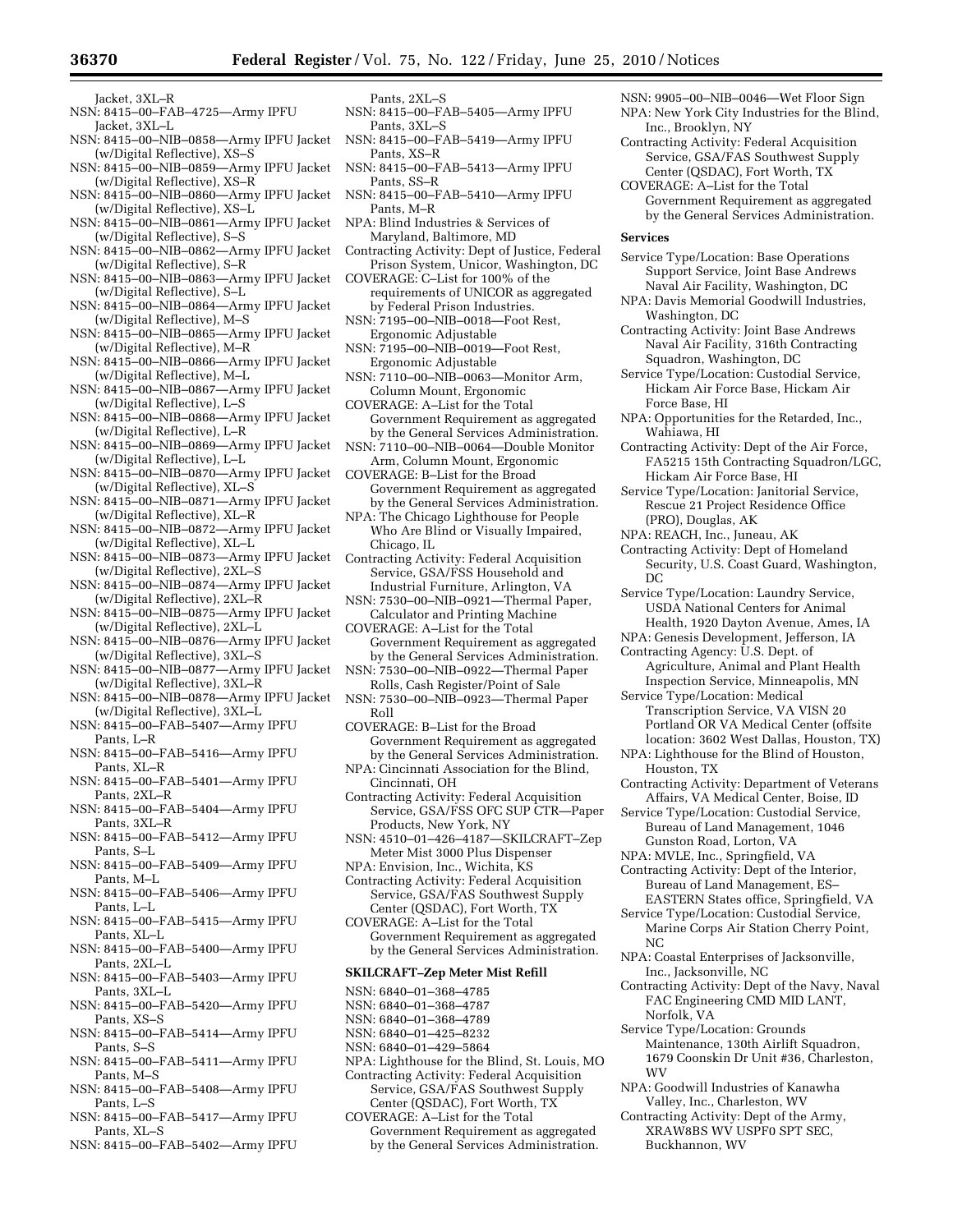- Jacket, 3XL–R
- NSN: 8415–00–FAB–4725—Army IPFU Jacket, 3XL–L
- NSN: 8415–00–NIB–0858—Army IPFU Jacket (w/Digital Reflective), XS–S
- NSN: 8415–00–NIB–0859—Army IPFU Jacket (w/Digital Reflective), XS–R
- NSN: 8415–00–NIB–0860—Army IPFU Jacket (w/Digital Reflective), XS–L
- NSN: 8415–00–NIB–0861—Army IPFU Jacket (w/Digital Reflective), S–S
- NSN: 8415–00–NIB–0862—Army IPFU Jacket (w/Digital Reflective), S–R
- NSN: 8415–00–NIB–0863—Army IPFU Jacket (w/Digital Reflective), S–L
- NSN: 8415–00–NIB–0864—Army IPFU Jacket (w/Digital Reflective), M–S
- NSN: 8415–00–NIB–0865—Army IPFU Jacket (w/Digital Reflective), M–R
- NSN: 8415–00–NIB–0866—Army IPFU Jacket (w/Digital Reflective), M–L
- NSN: 8415–00–NIB–0867—Army IPFU Jacket (w/Digital Reflective), L–S
- NSN: 8415–00–NIB–0868—Army IPFU Jacket (w/Digital Reflective), L–R
- NSN: 8415–00–NIB–0869—Army IPFU Jacket (w/Digital Reflective), L–L
- NSN: 8415–00–NIB–0870—Army IPFU Jacket (w/Digital Reflective), XL–S
- NSN: 8415–00–NIB–0871—Army IPFU Jacket (w/Digital Reflective), XL–R
- NSN: 8415–00–NIB–0872—Army IPFU Jacket (w/Digital Reflective), XL–L
- NSN: 8415–00–NIB–0873—Army IPFU Jacket (w/Digital Reflective), 2XL–S
- NSN: 8415–00–NIB–0874—Army IPFU Jacket (w/Digital Reflective), 2XL–R
- NSN: 8415–00–NIB–0875—Army IPFU Jacket (w/Digital Reflective), 2XL–L
- NSN: 8415–00–NIB–0876—Army IPFU Jacket (w/Digital Reflective), 3XL–S
- NSN: 8415–00–NIB–0877—Army IPFU Jacket (w/Digital Reflective), 3XL–R
- NSN: 8415–00–NIB–0878—Army IPFU Jacket (w/Digital Reflective), 3XL–L
- NSN: 8415–00–FAB–5407—Army IPFU Pants, L–R
- NSN: 8415–00–FAB–5416—Army IPFU Pants, XL–R
- NSN: 8415–00–FAB–5401—Army IPFU Pants, 2XL–R
- NSN: 8415–00–FAB–5404—Army IPFU Pants, 3XL–R
- NSN: 8415–00–FAB–5412—Army IPFU Pants, S–L
- NSN: 8415–00–FAB–5409—Army IPFU Pants, M–L
- NSN: 8415–00–FAB–5406—Army IPFU Pants, L–L
- NSN: 8415–00–FAB–5415—Army IPFU Pants, XL–L
- NSN: 8415–00–FAB–5400—Army IPFU Pants, 2XL–L
- NSN: 8415–00–FAB–5403—Army IPFU Pants, 3XL–L
- NSN: 8415–00–FAB–5420—Army IPFU Pants, XS–S
- NSN: 8415–00–FAB–5414—Army IPFU Pants, S–S
- NSN: 8415–00–FAB–5411—Army IPFU Pants, M–S
- NSN: 8415–00–FAB–5408—Army IPFU Pants, L–S
- NSN: 8415–00–FAB–5417—Army IPFU Pants, XL–S
- NSN: 8415–00–FAB–5402—Army IPFU
- Pants, 2XL–S NSN: 8415–00–FAB–5405—Army IPFU Pants, 3XL–S
- NSN: 8415–00–FAB–5419—Army IPFU Pants, XS–R
- NSN: 8415–00–FAB–5413—Army IPFU Pants, SS–R
- NSN: 8415–00–FAB–5410—Army IPFU Pants, M–R
- NPA: Blind Industries & Services of Maryland, Baltimore, MD
- Contracting Activity: Dept of Justice, Federal Prison System, Unicor, Washington, DC
- COVERAGE: C–List for 100% of the requirements of UNICOR as aggregated by Federal Prison Industries.
- NSN: 7195–00–NIB–0018—Foot Rest, Ergonomic Adjustable
- NSN: 7195–00–NIB–0019—Foot Rest, Ergonomic Adjustable
- NSN: 7110–00–NIB–0063—Monitor Arm, Column Mount, Ergonomic
- COVERAGE: A–List for the Total Government Requirement as aggregated by the General Services Administration.
- NSN: 7110–00–NIB–0064—Double Monitor Arm, Column Mount, Ergonomic
- COVERAGE: B–List for the Broad Government Requirement as aggregated by the General Services Administration.
- NPA: The Chicago Lighthouse for People Who Are Blind or Visually Impaired, Chicago, IL
- Contracting Activity: Federal Acquisition Service, GSA/FSS Household and Industrial Furniture, Arlington, VA
- NSN: 7530–00–NIB–0921—Thermal Paper, Calculator and Printing Machine
- COVERAGE: A–List for the Total Government Requirement as aggregated by the General Services Administration.
- NSN: 7530–00–NIB–0922—Thermal Paper Rolls, Cash Register/Point of Sale
- NSN: 7530–00–NIB–0923—Thermal Paper Roll
- COVERAGE: B–List for the Broad Government Requirement as aggregated by the General Services Administration.
- NPA: Cincinnati Association for the Blind, Cincinnati, OH
- Contracting Activity: Federal Acquisition Service, GSA/FSS OFC SUP CTR—Paper Products, New York, NY

NSN: 4510–01–426–4187—SKILCRAFT–Zep Meter Mist 3000 Plus Dispenser

- NPA: Envision, Inc., Wichita, KS Contracting Activity: Federal Acquisition
- Service, GSA/FAS Southwest Supply Center (QSDAC), Fort Worth, TX
- COVERAGE: A–List for the Total Government Requirement as aggregated by the General Services Administration.

# **SKILCRAFT–Zep Meter Mist Refill**

- NSN: 6840–01–368–4785
- NSN: 6840–01–368–4787
- NSN: 6840–01–368–4789
- NSN: 6840–01–425–8232
- NSN: 6840–01–429–5864
- NPA: Lighthouse for the Blind, St. Louis, MO Contracting Activity: Federal Acquisition
- Service, GSA/FAS Southwest Supply Center (QSDAC), Fort Worth, TX
- COVERAGE: A–List for the Total Government Requirement as aggregated by the General Services Administration.
- NSN: 9905–00–NIB–0046—Wet Floor Sign
- NPA: New York City Industries for the Blind, Inc., Brooklyn, NY
- Contracting Activity: Federal Acquisition Service, GSA/FAS Southwest Supply Center (QSDAC), Fort Worth, TX
- COVERAGE: A–List for the Total Government Requirement as aggregated by the General Services Administration.

#### **Services**

- Service Type/Location: Base Operations Support Service, Joint Base Andrews Naval Air Facility, Washington, DC
- NPA: Davis Memorial Goodwill Industries, Washington, DC
- Contracting Activity: Joint Base Andrews Naval Air Facility, 316th Contracting Squadron, Washington, DC
- Service Type/Location: Custodial Service, Hickam Air Force Base, Hickam Air Force Base, HI
- NPA: Opportunities for the Retarded, Inc., Wahiawa, HI
- Contracting Activity: Dept of the Air Force, FA5215 15th Contracting Squadron/LGC, Hickam Air Force Base, HI
- Service Type/Location: Janitorial Service, Rescue 21 Project Residence Office (PRO), Douglas, AK
- NPA: REACH, Inc., Juneau, AK
- Contracting Activity: Dept of Homeland Security, U.S. Coast Guard, Washington, DC
- Service Type/Location: Laundry Service, USDA National Centers for Animal Health, 1920 Dayton Avenue, Ames, IA
- NPA: Genesis Development, Jefferson, IA Contracting Agency: U.S. Dept. of
- Agriculture, Animal and Plant Health Inspection Service, Minneapolis, MN Service Type/Location: Medical
- Transcription Service, VA VISN 20 Portland OR VA Medical Center (offsite location: 3602 West Dallas, Houston, TX)
- NPA: Lighthouse for the Blind of Houston, Houston, TX
- Contracting Activity: Department of Veterans Affairs, VA Medical Center, Boise, ID
- Service Type/Location: Custodial Service, Bureau of Land Management, 1046 Gunston Road, Lorton, VA
- NPA: MVLE, Inc., Springfield, VA

Service Type/Location: Grounds

Buckhannon, WV

NPA: Goodwill Industries of Kanawha Valley, Inc., Charleston, WV Contracting Activity: Dept of the Army, XRAW8BS WV USPF0 SPT SEC,

Norfolk, VA

WV

- Contracting Activity: Dept of the Interior, Bureau of Land Management, ES– EASTERN States office, Springfield, VA
- Service Type/Location: Custodial Service, Marine Corps Air Station Cherry Point,
- NC NPA: Coastal Enterprises of Jacksonville, Inc., Jacksonville, NC

Contracting Activity: Dept of the Navy, Naval FAC Engineering CMD MID LANT,

Maintenance, 130th Airlift Squadron, 1679 Coonskin Dr Unit #36, Charleston,